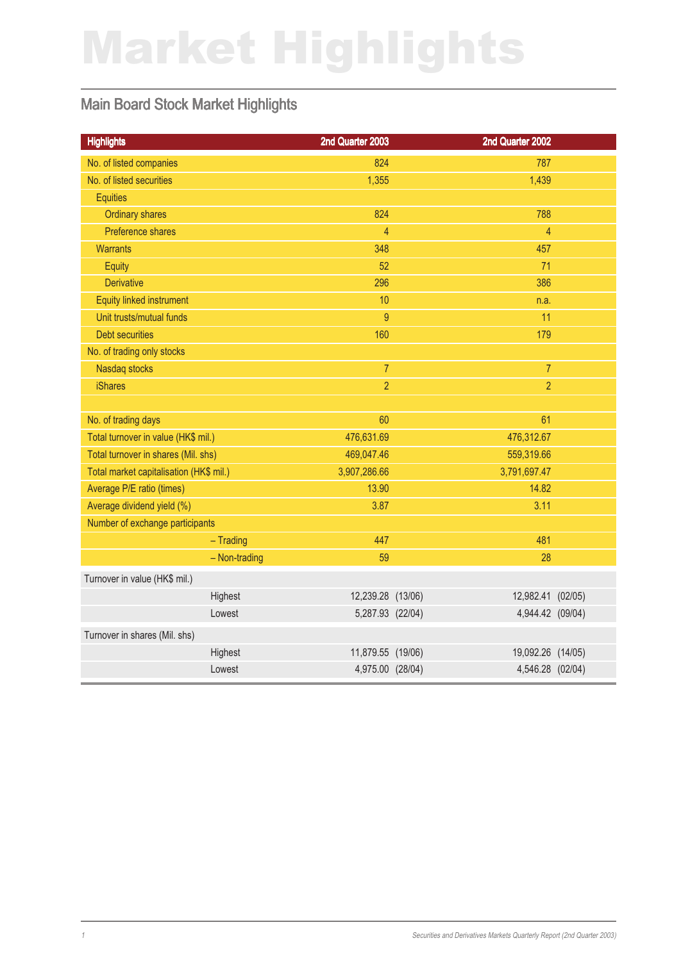# Market Highlights

### Main Board Stock Market Highlights

| <b>Highlights</b>                       |               | 2nd Quarter 2003  | 2nd Quarter 2002  |  |
|-----------------------------------------|---------------|-------------------|-------------------|--|
| No. of listed companies                 |               | 824               | 787               |  |
| No. of listed securities                |               | 1,355             | 1,439             |  |
| <b>Equities</b>                         |               |                   |                   |  |
| <b>Ordinary shares</b>                  |               | 824               | 788               |  |
| Preference shares                       |               | $\overline{4}$    | $\overline{4}$    |  |
| <b>Warrants</b>                         |               | 348               | 457               |  |
| Equity                                  |               | 52                | 71                |  |
| <b>Derivative</b>                       |               | 296               | 386               |  |
| Equity linked instrument                |               | 10                | n.a.              |  |
| Unit trusts/mutual funds                |               | 9                 | 11                |  |
| <b>Debt securities</b>                  |               | 160               | 179               |  |
| No. of trading only stocks              |               |                   |                   |  |
| Nasdaq stocks                           |               | $\overline{7}$    | $\overline{7}$    |  |
| <b>iShares</b>                          |               | $\overline{2}$    | $\overline{2}$    |  |
|                                         |               |                   |                   |  |
| No. of trading days                     |               | 60                | 61                |  |
| Total turnover in value (HK\$ mil.)     |               | 476,631.69        | 476,312.67        |  |
| Total turnover in shares (Mil. shs)     |               | 469,047.46        | 559,319.66        |  |
| Total market capitalisation (HK\$ mil.) |               | 3,907,286.66      | 3,791,697.47      |  |
| Average P/E ratio (times)               |               | 13.90             | 14.82             |  |
| Average dividend yield (%)              |               | 3.87              | 3.11              |  |
| Number of exchange participants         |               |                   |                   |  |
|                                         | $-$ Trading   | 447               | 481               |  |
|                                         | - Non-trading | 59                | 28                |  |
| Turnover in value (HK\$ mil.)           |               |                   |                   |  |
|                                         | Highest       | 12,239.28 (13/06) | 12,982.41 (02/05) |  |
|                                         | Lowest        | 5,287.93 (22/04)  | 4,944.42 (09/04)  |  |
| Turnover in shares (Mil. shs)           |               |                   |                   |  |
|                                         | Highest       | 11,879.55 (19/06) | 19,092.26 (14/05) |  |
|                                         | Lowest        | 4,975.00 (28/04)  | 4,546.28 (02/04)  |  |
|                                         |               |                   |                   |  |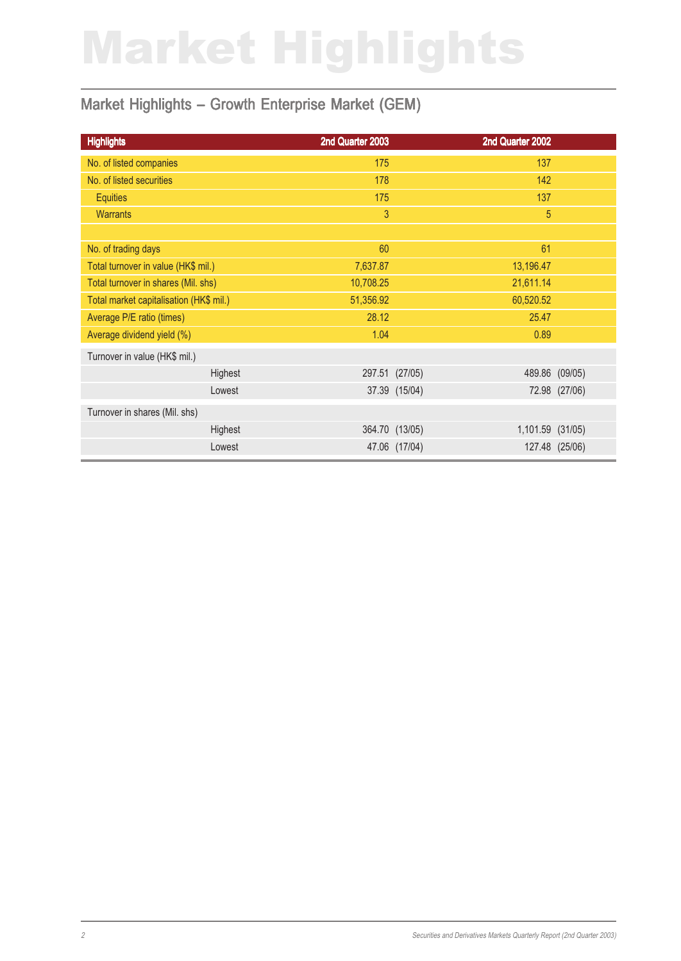# Market Highlights

### Market Highlights - Growth Enterprise Market (GEM)

| <b>Highlights</b>                       | 2nd Quarter 2003 |               | 2nd Quarter 2002 |                |
|-----------------------------------------|------------------|---------------|------------------|----------------|
| No. of listed companies                 | 175              |               | 137              |                |
| No. of listed securities                | 178              |               | 142              |                |
| <b>Equities</b>                         | 175              |               | 137              |                |
| <b>Warrants</b>                         | 3                |               | 5                |                |
|                                         |                  |               |                  |                |
| No. of trading days                     | 60               |               | 61               |                |
| Total turnover in value (HK\$ mil.)     | 7,637.87         |               | 13,196.47        |                |
| Total turnover in shares (Mil. shs)     | 10,708.25        |               | 21,611.14        |                |
| Total market capitalisation (HK\$ mil.) | 51,356.92        |               | 60,520.52        |                |
| Average P/E ratio (times)               | 28.12            |               | 25.47            |                |
| Average dividend yield (%)              | 1.04             |               | 0.89             |                |
| Turnover in value (HK\$ mil.)           |                  |               |                  |                |
| Highest                                 | 297.51 (27/05)   |               | 489.86           | (09/05)        |
| Lowest                                  |                  | 37.39 (15/04) |                  | 72.98 (27/06)  |
| Turnover in shares (Mil. shs)           |                  |               |                  |                |
| Highest                                 | 364.70 (13/05)   |               | 1,101.59         | (31/05)        |
| Lowest                                  |                  | 47.06 (17/04) |                  | 127.48 (25/06) |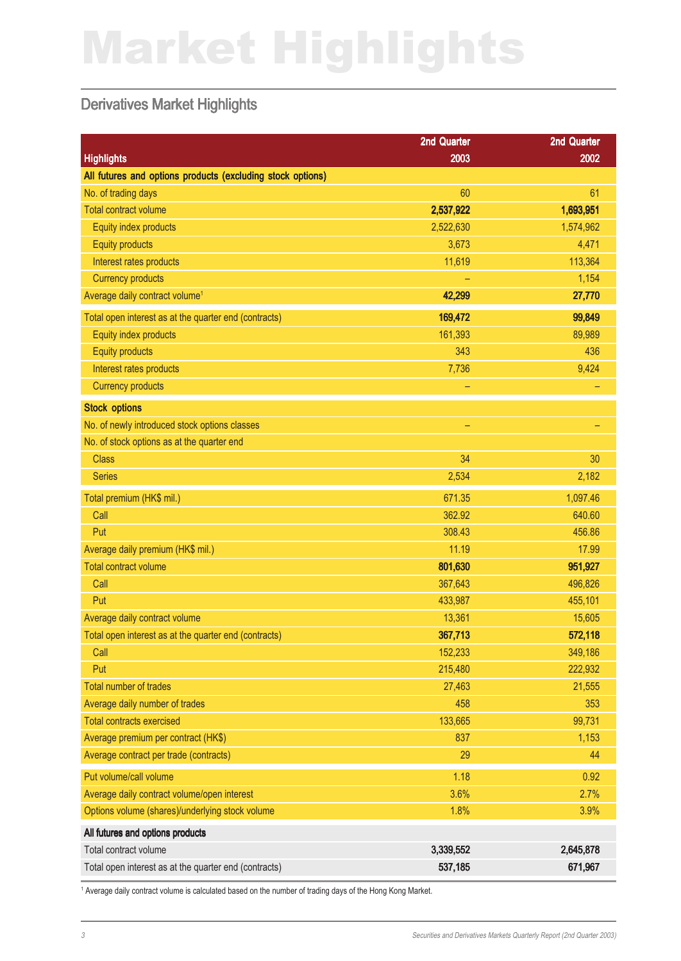# Market Highlights

#### Derivatives Market Highlights

| <b>Highlights</b><br>2003<br>2002<br>All futures and options products (excluding stock options)<br>No. of trading days<br>61<br>60<br><b>Total contract volume</b><br>2,537,922<br>1,693,951<br>2,522,630<br>1,574,962<br>Equity index products<br>3,673<br>4,471<br><b>Equity products</b><br>113,364<br>11,619<br>Interest rates products<br><b>Currency products</b><br>1,154<br>Average daily contract volume <sup>1</sup><br>42,299<br>27,770<br>169,472<br>99,849<br>Total open interest as at the quarter end (contracts)<br>Equity index products<br>161,393<br>89,989<br><b>Equity products</b><br>436<br>343 |
|------------------------------------------------------------------------------------------------------------------------------------------------------------------------------------------------------------------------------------------------------------------------------------------------------------------------------------------------------------------------------------------------------------------------------------------------------------------------------------------------------------------------------------------------------------------------------------------------------------------------|
|                                                                                                                                                                                                                                                                                                                                                                                                                                                                                                                                                                                                                        |
|                                                                                                                                                                                                                                                                                                                                                                                                                                                                                                                                                                                                                        |
|                                                                                                                                                                                                                                                                                                                                                                                                                                                                                                                                                                                                                        |
|                                                                                                                                                                                                                                                                                                                                                                                                                                                                                                                                                                                                                        |
|                                                                                                                                                                                                                                                                                                                                                                                                                                                                                                                                                                                                                        |
|                                                                                                                                                                                                                                                                                                                                                                                                                                                                                                                                                                                                                        |
|                                                                                                                                                                                                                                                                                                                                                                                                                                                                                                                                                                                                                        |
|                                                                                                                                                                                                                                                                                                                                                                                                                                                                                                                                                                                                                        |
|                                                                                                                                                                                                                                                                                                                                                                                                                                                                                                                                                                                                                        |
|                                                                                                                                                                                                                                                                                                                                                                                                                                                                                                                                                                                                                        |
|                                                                                                                                                                                                                                                                                                                                                                                                                                                                                                                                                                                                                        |
|                                                                                                                                                                                                                                                                                                                                                                                                                                                                                                                                                                                                                        |
| 7,736<br>9,424<br>Interest rates products                                                                                                                                                                                                                                                                                                                                                                                                                                                                                                                                                                              |
| <b>Currency products</b>                                                                                                                                                                                                                                                                                                                                                                                                                                                                                                                                                                                               |
| <b>Stock options</b>                                                                                                                                                                                                                                                                                                                                                                                                                                                                                                                                                                                                   |
| No. of newly introduced stock options classes<br>÷                                                                                                                                                                                                                                                                                                                                                                                                                                                                                                                                                                     |
| No. of stock options as at the quarter end                                                                                                                                                                                                                                                                                                                                                                                                                                                                                                                                                                             |
| 30<br><b>Class</b><br>34                                                                                                                                                                                                                                                                                                                                                                                                                                                                                                                                                                                               |
| 2,534<br>2,182<br><b>Series</b>                                                                                                                                                                                                                                                                                                                                                                                                                                                                                                                                                                                        |
| 671.35<br>1,097.46<br>Total premium (HK\$ mil.)                                                                                                                                                                                                                                                                                                                                                                                                                                                                                                                                                                        |
| 362.92<br>640.60<br>Call                                                                                                                                                                                                                                                                                                                                                                                                                                                                                                                                                                                               |
| Put<br>308.43<br>456.86                                                                                                                                                                                                                                                                                                                                                                                                                                                                                                                                                                                                |
| Average daily premium (HK\$ mil.)<br>11.19<br>17.99                                                                                                                                                                                                                                                                                                                                                                                                                                                                                                                                                                    |
| <b>Total contract volume</b><br>801,630<br>951,927                                                                                                                                                                                                                                                                                                                                                                                                                                                                                                                                                                     |
| Call<br>367,643<br>496,826                                                                                                                                                                                                                                                                                                                                                                                                                                                                                                                                                                                             |
| Put<br>433,987<br>455,101                                                                                                                                                                                                                                                                                                                                                                                                                                                                                                                                                                                              |
| Average daily contract volume<br>13,361<br>15,605                                                                                                                                                                                                                                                                                                                                                                                                                                                                                                                                                                      |
| 367,713<br>572,118<br>Total open interest as at the quarter end (contracts)                                                                                                                                                                                                                                                                                                                                                                                                                                                                                                                                            |
| 152,233<br>349,186<br>Call                                                                                                                                                                                                                                                                                                                                                                                                                                                                                                                                                                                             |
| 215,480<br>Put<br>222,932                                                                                                                                                                                                                                                                                                                                                                                                                                                                                                                                                                                              |
| Total number of trades<br>27,463<br>21,555                                                                                                                                                                                                                                                                                                                                                                                                                                                                                                                                                                             |
| Average daily number of trades<br>458<br>353                                                                                                                                                                                                                                                                                                                                                                                                                                                                                                                                                                           |
| <b>Total contracts exercised</b><br>133,665<br>99,731                                                                                                                                                                                                                                                                                                                                                                                                                                                                                                                                                                  |
| 837<br>1,153<br>Average premium per contract (HK\$)                                                                                                                                                                                                                                                                                                                                                                                                                                                                                                                                                                    |
| 29<br>44<br>Average contract per trade (contracts)                                                                                                                                                                                                                                                                                                                                                                                                                                                                                                                                                                     |
| Put volume/call volume<br>1.18<br>0.92                                                                                                                                                                                                                                                                                                                                                                                                                                                                                                                                                                                 |
| Average daily contract volume/open interest<br>3.6%<br>2.7%                                                                                                                                                                                                                                                                                                                                                                                                                                                                                                                                                            |
| Options volume (shares)/underlying stock volume<br>1.8%<br>3.9%                                                                                                                                                                                                                                                                                                                                                                                                                                                                                                                                                        |
| All futures and options products                                                                                                                                                                                                                                                                                                                                                                                                                                                                                                                                                                                       |
| Total contract volume<br>3,339,552<br>2,645,878                                                                                                                                                                                                                                                                                                                                                                                                                                                                                                                                                                        |
| 537,185<br>671,967<br>Total open interest as at the quarter end (contracts)                                                                                                                                                                                                                                                                                                                                                                                                                                                                                                                                            |

1 Average daily contract volume is calculated based on the number of trading days of the Hong Kong Market.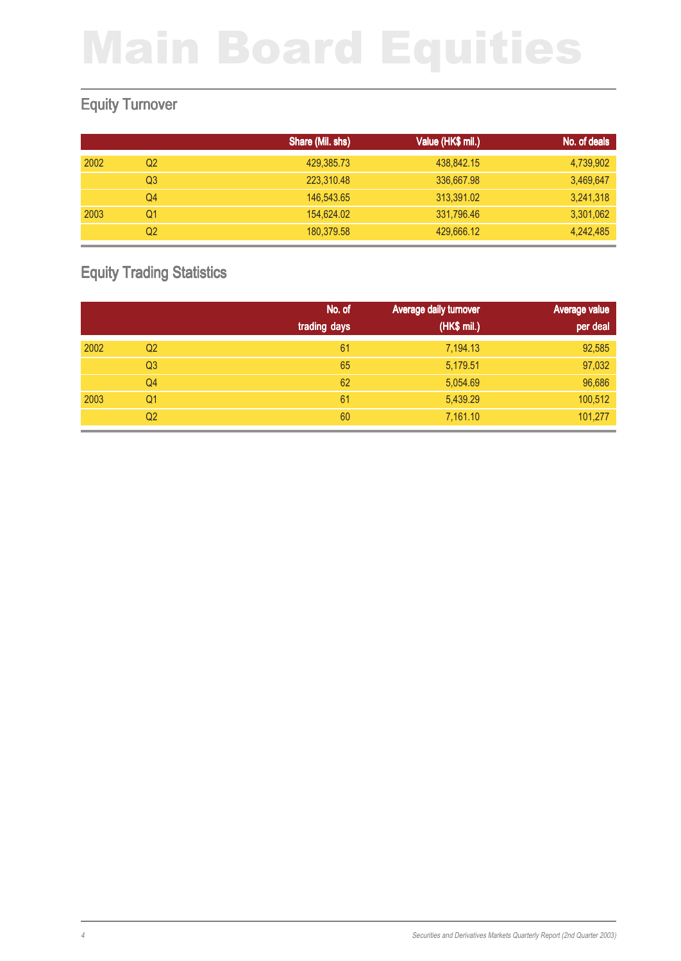### Equity Turnover

|      |    | Share (Mil. shs) | Value (HK\$ mil.) | No. of deals |
|------|----|------------------|-------------------|--------------|
| 2002 | Q2 | 429,385.73       | 438,842.15        | 4,739,902    |
|      | Q3 | 223,310.48       | 336,667.98        | 3,469,647    |
|      | Q4 | 146,543,65       | 313,391.02        | 3,241,318    |
| 2003 | Q1 | 154,624.02       | 331,796.46        | 3,301,062    |
|      | Q2 | 180,379.58       | 429,666.12        | 4,242,485    |

### Equity Trading Statistics

|      |                | No. of       | Average daily turnover | Average value |
|------|----------------|--------------|------------------------|---------------|
|      |                | trading days | (HK\$ mil.)            | per deal      |
| 2002 | Q <sub>2</sub> | 61           | 7,194.13               | 92,585        |
|      | Q <sub>3</sub> | 65           | 5,179.51               | 97,032        |
|      | Q4             | 62           | 5,054.69               | 96,686        |
| 2003 | Q1             | 61           | 5,439.29               | 100,512       |
|      | Q <sub>2</sub> | 60           | 7,161.10               | 101,277       |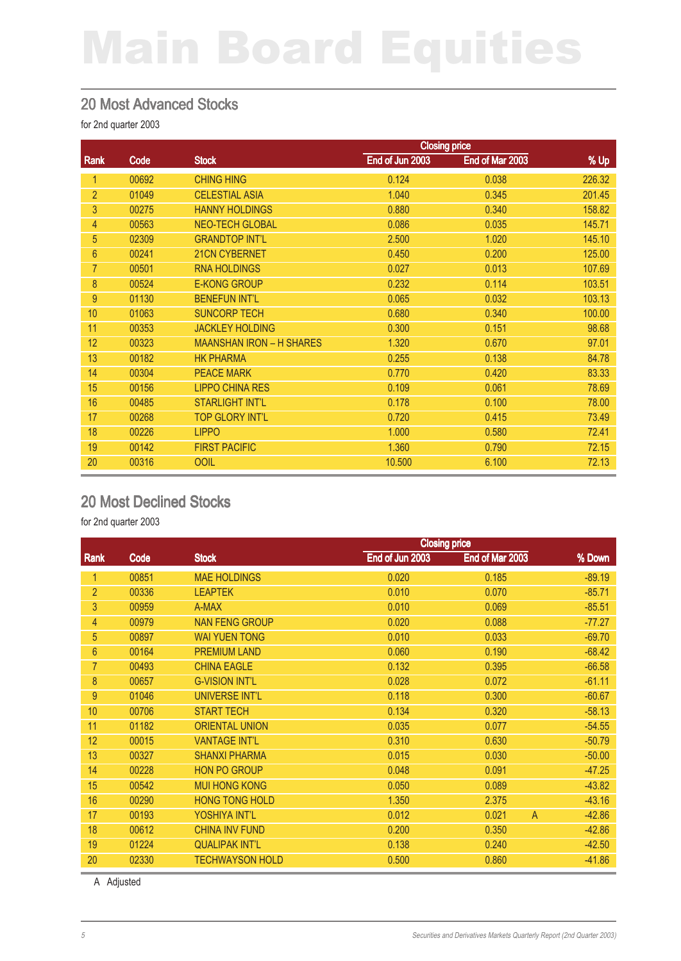#### 20 Most Advanced Stocks

for 2nd quarter 2003

|                |             | <b>Closing price</b>            |                 |                 |        |  |
|----------------|-------------|---------------------------------|-----------------|-----------------|--------|--|
| Rank           | <b>Code</b> | <b>Stock</b>                    | End of Jun 2003 | End of Mar 2003 | % Up   |  |
| 1              | 00692       | <b>CHING HING</b>               | 0.124           | 0.038           | 226.32 |  |
| $\overline{2}$ | 01049       | <b>CELESTIAL ASIA</b>           | 1.040           | 0.345           | 201.45 |  |
| 3              | 00275       | <b>HANNY HOLDINGS</b>           | 0.880           | 0.340           | 158.82 |  |
| $\overline{4}$ | 00563       | <b>NEO-TECH GLOBAL</b>          | 0.086           | 0.035           | 145.71 |  |
| 5              | 02309       | <b>GRANDTOP INT'L</b>           | 2.500           | 1.020           | 145.10 |  |
| $6\phantom{1}$ | 00241       | 21CN CYBERNET                   | 0.450           | 0.200           | 125.00 |  |
| $\overline{7}$ | 00501       | <b>RNA HOLDINGS</b>             | 0.027           | 0.013           | 107.69 |  |
| 8              | 00524       | <b>E-KONG GROUP</b>             | 0.232           | 0.114           | 103.51 |  |
| 9              | 01130       | <b>BENEFUN INT'L</b>            | 0.065           | 0.032           | 103.13 |  |
| 10             | 01063       | <b>SUNCORP TECH</b>             | 0.680           | 0.340           | 100.00 |  |
| 11             | 00353       | <b>JACKLEY HOLDING</b>          | 0.300           | 0.151           | 98.68  |  |
| 12             | 00323       | <b>MAANSHAN IRON - H SHARES</b> | 1.320           | 0.670           | 97.01  |  |
| 13             | 00182       | <b>HK PHARMA</b>                | 0.255           | 0.138           | 84.78  |  |
| 14             | 00304       | <b>PEACE MARK</b>               | 0.770           | 0.420           | 83.33  |  |
| 15             | 00156       | <b>LIPPO CHINA RES</b>          | 0.109           | 0.061           | 78.69  |  |
| 16             | 00485       | <b>STARLIGHT INT'L</b>          | 0.178           | 0.100           | 78.00  |  |
| 17             | 00268       | <b>TOP GLORY INT'L</b>          | 0.720           | 0.415           | 73.49  |  |
| 18             | 00226       | <b>LIPPO</b>                    | 1.000           | 0.580           | 72.41  |  |
| 19             | 00142       | <b>FIRST PACIFIC</b>            | 1.360           | 0.790           | 72.15  |  |
| 20             | 00316       | <b>OOIL</b>                     | 10.500          | 6.100           | 72.13  |  |

### 20 Most Declined Stocks

for 2nd quarter 2003

|                |       |                        | <b>Closing price</b> |                         |          |  |
|----------------|-------|------------------------|----------------------|-------------------------|----------|--|
| Rank           | Code  | <b>Stock</b>           | End of Jun 2003      | End of Mar 2003         | % Down   |  |
|                | 00851 | <b>MAE HOLDINGS</b>    | 0.020                | 0.185                   | $-89.19$ |  |
| $\overline{2}$ | 00336 | <b>LEAPTEK</b>         | 0.010                | 0.070                   | $-85.71$ |  |
| 3              | 00959 | A-MAX                  | 0.010                | 0.069                   | $-85.51$ |  |
| 4              | 00979 | <b>NAN FENG GROUP</b>  | 0.020                | 0.088                   | $-77.27$ |  |
| 5              | 00897 | <b>WAI YUEN TONG</b>   | 0.010                | 0.033                   | $-69.70$ |  |
| 6              | 00164 | <b>PREMIUM LAND</b>    | 0.060                | 0.190                   | $-68.42$ |  |
| 7              | 00493 | <b>CHINA EAGLE</b>     | 0.132                | 0.395                   | $-66.58$ |  |
| 8              | 00657 | <b>G-VISION INT'L</b>  | 0.028                | 0.072                   | $-61.11$ |  |
| 9              | 01046 | <b>UNIVERSE INT'L</b>  | 0.118                | 0.300                   | $-60.67$ |  |
| 10             | 00706 | <b>START TECH</b>      | 0.134                | 0.320                   | $-58.13$ |  |
| 11             | 01182 | <b>ORIENTAL UNION</b>  | 0.035                | 0.077                   | $-54.55$ |  |
| 12             | 00015 | <b>VANTAGE INT'L</b>   | 0.310                | 0.630                   | $-50.79$ |  |
| 13             | 00327 | <b>SHANXI PHARMA</b>   | 0.015                | 0.030                   | $-50.00$ |  |
| 14             | 00228 | <b>HON PO GROUP</b>    | 0.048                | 0.091                   | $-47.25$ |  |
| 15             | 00542 | <b>MUI HONG KONG</b>   | 0.050                | 0.089                   | $-43.82$ |  |
| 16             | 00290 | <b>HONG TONG HOLD</b>  | 1.350                | 2.375                   | $-43.16$ |  |
| 17             | 00193 | YOSHIYA INT'L          | 0.012                | 0.021<br>$\overline{A}$ | $-42.86$ |  |
| 18             | 00612 | <b>CHINA INV FUND</b>  | 0.200                | 0.350                   | $-42.86$ |  |
| 19             | 01224 | <b>QUALIPAK INT'L</b>  | 0.138                | 0.240                   | $-42.50$ |  |
| 20             | 02330 | <b>TECHWAYSON HOLD</b> | 0.500                | 0.860                   | $-41.86$ |  |

A Adjusted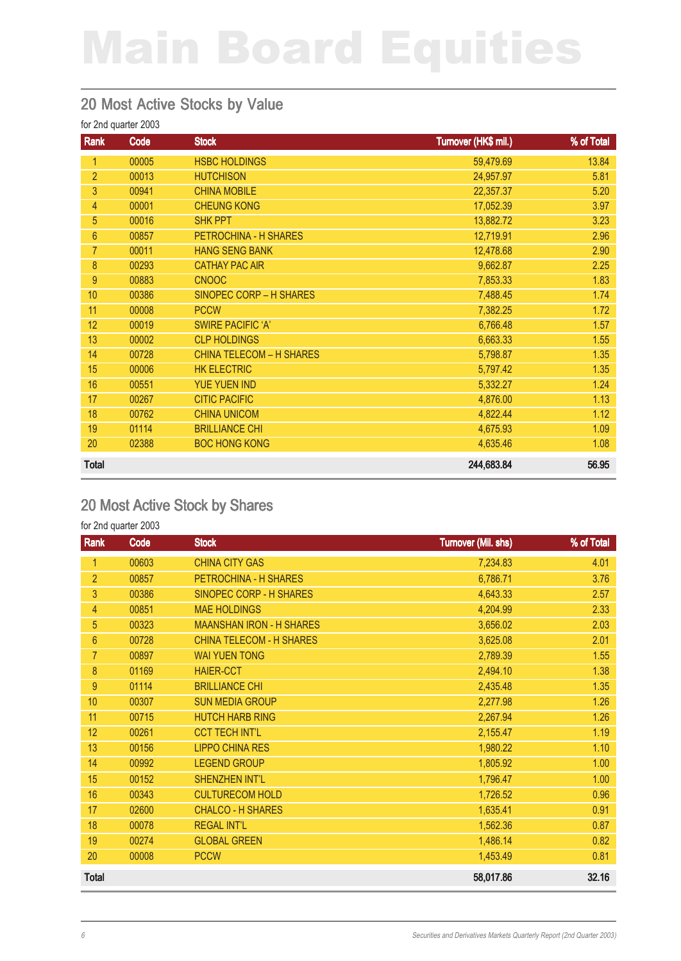#### 20 Most Active Stocks by Value

for 2nd quarter 2003

| Rank           | Code  | <b>Stock</b>                    | Turnover (HK\$ mil.) | % of Total |
|----------------|-------|---------------------------------|----------------------|------------|
| 1              | 00005 | <b>HSBC HOLDINGS</b>            | 59,479.69            | 13.84      |
| $\overline{2}$ | 00013 | <b>HUTCHISON</b>                | 24,957.97            | 5.81       |
| 3              | 00941 | <b>CHINA MOBILE</b>             | 22,357.37            | 5.20       |
| $\overline{4}$ | 00001 | <b>CHEUNG KONG</b>              | 17,052.39            | 3.97       |
| 5              | 00016 | <b>SHK PPT</b>                  | 13,882.72            | 3.23       |
| 6              | 00857 | PETROCHINA - H SHARES           | 12,719.91            | 2.96       |
| $\overline{7}$ | 00011 | <b>HANG SENG BANK</b>           | 12,478.68            | 2.90       |
| 8              | 00293 | <b>CATHAY PAC AIR</b>           | 9,662.87             | 2.25       |
| $9\,$          | 00883 | <b>CNOOC</b>                    | 7,853.33             | 1.83       |
| 10             | 00386 | SINOPEC CORP - H SHARES         | 7,488.45             | 1.74       |
| 11             | 00008 | <b>PCCW</b>                     | 7,382.25             | 1.72       |
| 12             | 00019 | <b>SWIRE PACIFIC 'A'</b>        | 6,766.48             | 1.57       |
| 13             | 00002 | <b>CLP HOLDINGS</b>             | 6,663.33             | 1.55       |
| 14             | 00728 | <b>CHINA TELECOM - H SHARES</b> | 5,798.87             | 1.35       |
| 15             | 00006 | <b>HK ELECTRIC</b>              | 5,797.42             | 1.35       |
| 16             | 00551 | <b>YUE YUEN IND</b>             | 5,332.27             | 1.24       |
| 17             | 00267 | <b>CITIC PACIFIC</b>            | 4,876.00             | 1.13       |
| 18             | 00762 | <b>CHINA UNICOM</b>             | 4,822.44             | 1.12       |
| 19             | 01114 | <b>BRILLIANCE CHI</b>           | 4,675.93             | 1.09       |
| 20             | 02388 | <b>BOC HONG KONG</b>            | 4,635.46             | 1.08       |
| <b>Total</b>   |       |                                 | 244,683.84           | 56.95      |

#### 20 Most Active Stock by Shares

| Rank           | Code  | <b>Stock</b>                    | <b>Turnover (Mil. shs)</b> | % of Total |
|----------------|-------|---------------------------------|----------------------------|------------|
| 1              | 00603 | <b>CHINA CITY GAS</b>           | 7,234.83                   | 4.01       |
| $\overline{2}$ | 00857 | PETROCHINA - H SHARES           | 6,786.71                   | 3.76       |
| 3              | 00386 | SINOPEC CORP - H SHARES         | 4,643.33                   | 2.57       |
| 4              | 00851 | <b>MAE HOLDINGS</b>             | 4,204.99                   | 2.33       |
| 5              | 00323 | <b>MAANSHAN IRON - H SHARES</b> | 3,656.02                   | 2.03       |
| $6\phantom{1}$ | 00728 | <b>CHINA TELECOM - H SHARES</b> | 3,625.08                   | 2.01       |
| $\overline{7}$ | 00897 | <b>WAI YUEN TONG</b>            | 2,789.39                   | 1.55       |
| 8              | 01169 | <b>HAIER-CCT</b>                | 2,494.10                   | 1.38       |
| $9\,$          | 01114 | <b>BRILLIANCE CHI</b>           | 2,435.48                   | 1.35       |
| 10             | 00307 | <b>SUN MEDIA GROUP</b>          | 2,277.98                   | 1.26       |
| 11             | 00715 | <b>HUTCH HARB RING</b>          | 2,267.94                   | 1.26       |
| 12             | 00261 | <b>CCT TECH INT'L</b>           | 2,155.47                   | 1.19       |
| 13             | 00156 | <b>LIPPO CHINA RES</b>          | 1,980.22                   | 1.10       |
| 14             | 00992 | <b>LEGEND GROUP</b>             | 1,805.92                   | 1.00       |
| 15             | 00152 | <b>SHENZHEN INT'L</b>           | 1,796.47                   | 1.00       |
| 16             | 00343 | <b>CULTURECOM HOLD</b>          | 1,726.52                   | 0.96       |
| 17             | 02600 | <b>CHALCO - H SHARES</b>        | 1,635.41                   | 0.91       |
| 18             | 00078 | <b>REGAL INT'L</b>              | 1,562.36                   | 0.87       |
| 19             | 00274 | <b>GLOBAL GREEN</b>             | 1,486.14                   | 0.82       |
| 20             | 00008 | <b>PCCW</b>                     | 1,453.49                   | 0.81       |
| <b>Total</b>   |       |                                 | 58,017.86                  | 32.16      |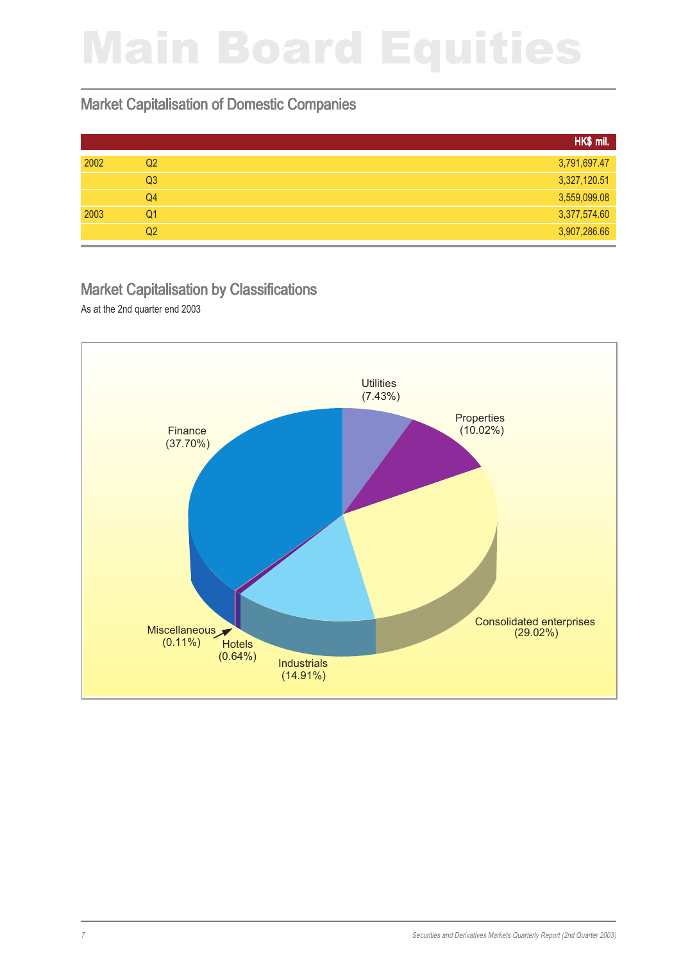#### Market Capitalisation of Domestic Companies

|      |                | HK\$ mil.    |
|------|----------------|--------------|
| 2002 | Q <sub>2</sub> | 3,791,697.47 |
|      | Q <sub>3</sub> | 3,327,120.51 |
|      | Q4             | 3,559,099.08 |
| 2003 | Q1             | 3,377,574.60 |
|      | Q <sub>2</sub> | 3,907,286.66 |

#### Market Capitalisation by Classifications

As at the 2nd quarter end 2003

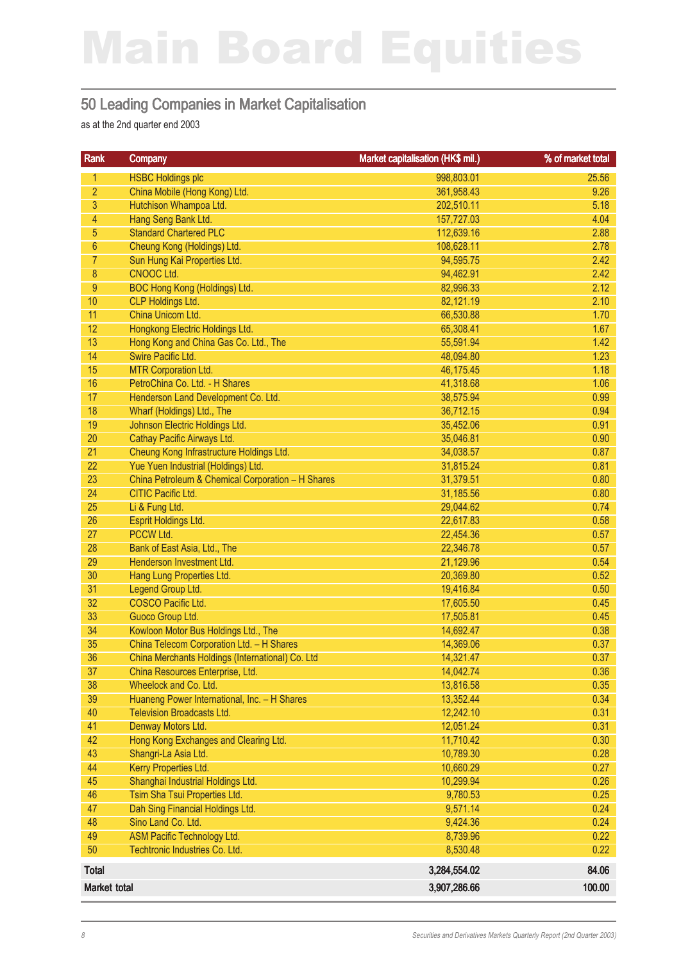#### 50 Leading Companies in Market Capitalisation

as at the 2nd quarter end 2003

| Rank             | Company                                           | Market capitalisation (HK\$ mil.) | % of market total |
|------------------|---------------------------------------------------|-----------------------------------|-------------------|
| 1                | <b>HSBC Holdings plc</b>                          | 998,803.01                        | 25.56             |
| $\overline{2}$   | China Mobile (Hong Kong) Ltd.                     | 361,958.43                        | 9.26              |
| 3                | Hutchison Whampoa Ltd.                            | 202,510.11                        | 5.18              |
| $\overline{4}$   | Hang Seng Bank Ltd.                               | 157,727.03                        | 4.04              |
| $\overline{5}$   | <b>Standard Chartered PLC</b>                     | 112,639.16                        | 2.88              |
| $6\phantom{.}$   | Cheung Kong (Holdings) Ltd.                       | 108,628.11                        | 2.78              |
| $\overline{7}$   | Sun Hung Kai Properties Ltd.                      | 94,595.75                         | 2.42              |
| $\boldsymbol{8}$ | CNOOC Ltd.                                        | 94,462.91                         | 2.42              |
| 9                | BOC Hong Kong (Holdings) Ltd.                     | 82,996.33                         | 2.12              |
| 10               | CLP Holdings Ltd.                                 | 82,121.19                         | 2.10              |
| 11               | China Unicom Ltd.                                 | 66,530.88                         | 1.70              |
| 12               | Hongkong Electric Holdings Ltd.                   | 65,308.41                         | 1.67              |
| 13               | Hong Kong and China Gas Co. Ltd., The             | 55,591.94                         | 1.42              |
| 14               | Swire Pacific Ltd.                                | 48,094.80                         | 1.23              |
| 15               | <b>MTR Corporation Ltd.</b>                       | 46,175.45                         | 1.18              |
| 16               | PetroChina Co. Ltd. - H Shares                    | 41,318.68                         | 1.06              |
| 17               | Henderson Land Development Co. Ltd.               | 38,575.94                         | 0.99              |
| 18               | Wharf (Holdings) Ltd., The                        | 36,712.15                         | 0.94              |
| 19               | Johnson Electric Holdings Ltd.                    | 35,452.06                         | 0.91              |
| 20               | Cathay Pacific Airways Ltd.                       | 35,046.81                         | 0.90              |
| 21               | Cheung Kong Infrastructure Holdings Ltd.          | 34,038.57                         | 0.87              |
| 22               | Yue Yuen Industrial (Holdings) Ltd.               | 31,815.24                         | 0.81              |
| 23               | China Petroleum & Chemical Corporation - H Shares | 31,379.51                         | 0.80              |
| 24               | CITIC Pacific Ltd.                                | 31,185.56                         | 0.80              |
| 25               | Li & Fung Ltd.                                    | 29,044.62                         | 0.74              |
| 26               | Esprit Holdings Ltd.                              | 22,617.83                         | 0.58              |
| 27               | PCCW Ltd.                                         | 22,454.36                         | 0.57              |
| 28               | Bank of East Asia, Ltd., The                      | 22,346.78                         | 0.57              |
| 29<br>30         | Henderson Investment Ltd.                         | 21,129.96                         | 0.54              |
| 31               | Hang Lung Properties Ltd.                         | 20,369.80                         | 0.52<br>0.50      |
| 32               | Legend Group Ltd.<br>COSCO Pacific Ltd.           | 19,416.84<br>17,605.50            | 0.45              |
| 33               | Guoco Group Ltd.                                  | 17,505.81                         | 0.45              |
| 34               | Kowloon Motor Bus Holdings Ltd., The              | 14,692.47                         | 0.38              |
| 35               | China Telecom Corporation Ltd. - H Shares         | 14,369.06                         | 0.37              |
| 36               | China Merchants Holdings (International) Co. Ltd  | 14,321.47                         | 0.37              |
| 37               | China Resources Enterprise, Ltd.                  | 14,042.74                         | 0.36              |
| 38               | Wheelock and Co. Ltd.                             | 13,816.58                         | 0.35              |
| 39               | Huaneng Power International, Inc. - H Shares      | 13,352.44                         | 0.34              |
| 40               | <b>Television Broadcasts Ltd.</b>                 | 12,242.10                         | 0.31              |
| 41               | Denway Motors Ltd.                                | 12,051.24                         | 0.31              |
| 42               | Hong Kong Exchanges and Clearing Ltd.             | 11,710.42                         | 0.30              |
| 43               | Shangri-La Asia Ltd.                              | 10,789.30                         | 0.28              |
| 44               | Kerry Properties Ltd.                             | 10,660.29                         | 0.27              |
| 45               | Shanghai Industrial Holdings Ltd.                 | 10,299.94                         | 0.26              |
| 46               | Tsim Sha Tsui Properties Ltd.                     | 9,780.53                          | 0.25              |
| 47               | Dah Sing Financial Holdings Ltd.                  | 9,571.14                          | 0.24              |
| 48               | Sino Land Co. Ltd.                                | 9,424.36                          | 0.24              |
| 49               | <b>ASM Pacific Technology Ltd.</b>                | 8,739.96                          | 0.22              |
| 50               | Techtronic Industries Co. Ltd.                    | 8,530.48                          | 0.22              |
| Total            |                                                   | 3,284,554.02                      | 84.06             |
| Market total     |                                                   | 3,907,286.66                      | 100.00            |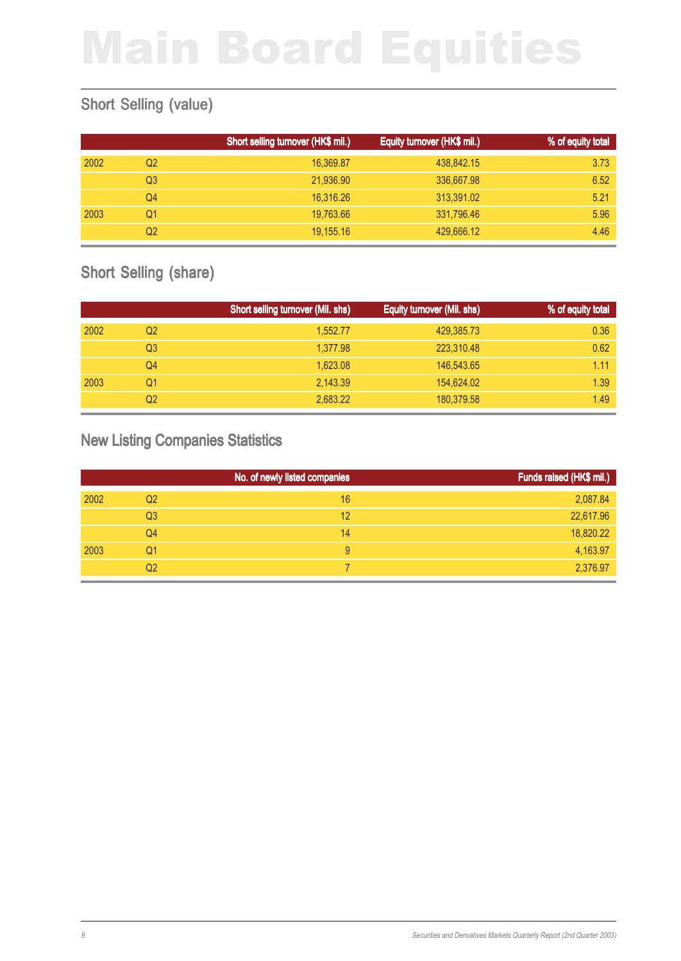### Short Selling (value)

|      |    | Short selling turnover (HK\$ mil.) | Equity turnover (HK\$ mil.) | % of equity total |
|------|----|------------------------------------|-----------------------------|-------------------|
| 2002 | Q2 | 16,369.87                          | 438,842.15                  | 3.73              |
|      | Q3 | 21,936.90                          | 336,667.98                  | 6.52              |
|      | Q4 | 16.316.26                          | 313,391.02                  | 5.21              |
| 2003 | Q1 | 19,763.66                          | 331,796.46                  | 5.96              |
|      | Q2 | 19,155.16                          | 429,666.12                  | 4.46              |

### Short Selling (share)

|      |    | Short selling turnover (Mil. shs) | Equity turnover (Mil. shs) | % of equity total |
|------|----|-----------------------------------|----------------------------|-------------------|
| 2002 | Q2 | 1,552.77                          | 429,385.73                 | 0.36              |
|      | Q3 | 1.377.98                          | 223,310.48                 | 0.62              |
|      | Q4 | 1,623.08                          | 146,543.65                 | 1.11              |
| 2003 | Q1 | 2,143.39                          | 154,624.02                 | 1.39              |
|      | Q2 | 2.683.22                          | 180,379.58                 | 1.49              |

#### New Listing Companies Statistics

|      |                | No. of newly listed companies | Funds raised (HK\$ mil.) |
|------|----------------|-------------------------------|--------------------------|
| 2002 | Q2             | 16                            | 2,087.84                 |
|      | Q <sub>3</sub> | 12                            | 22,617.96                |
|      | Q4             | 14                            | 18,820.22                |
| 2003 | Q1             | 9                             | 4,163.97                 |
|      | Q2             |                               | 2,376.97                 |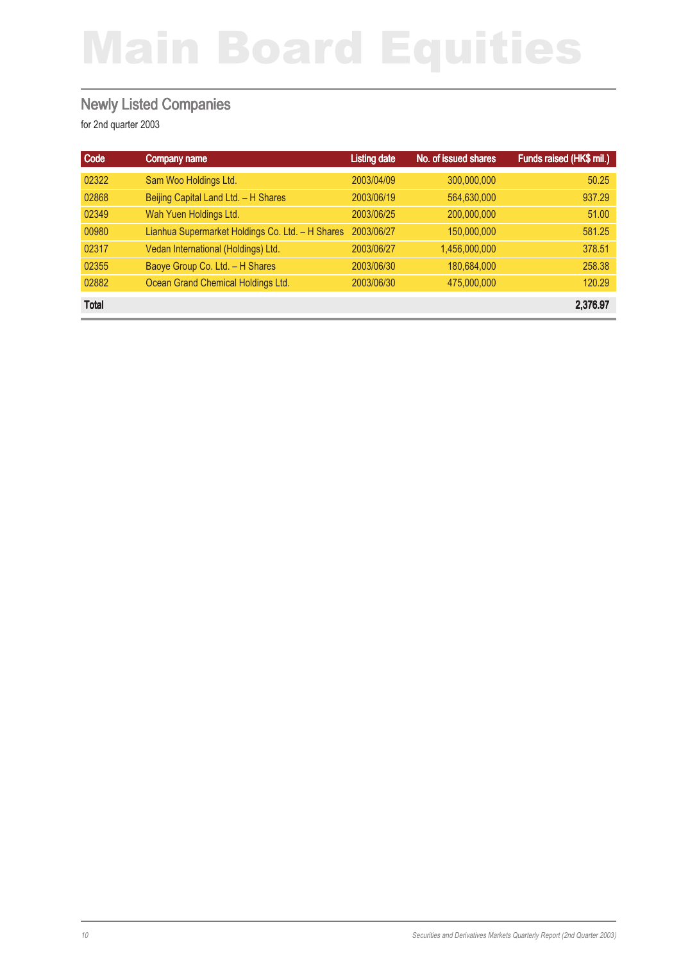#### Newly Listed Companies

| Code         | <b>Company name</b>                              | <b>Listing date</b> | No. of issued shares | Funds raised (HK\$ mil.) |
|--------------|--------------------------------------------------|---------------------|----------------------|--------------------------|
| 02322        | Sam Woo Holdings Ltd.                            | 2003/04/09          | 300,000,000          | 50.25                    |
| 02868        | Beijing Capital Land Ltd. - H Shares             | 2003/06/19          | 564,630,000          | 937.29                   |
| 02349        | Wah Yuen Holdings Ltd.                           | 2003/06/25          | 200,000,000          | 51.00                    |
| 00980        | Lianhua Supermarket Holdings Co. Ltd. - H Shares | 2003/06/27          | 150,000,000          | 581.25                   |
| 02317        | Vedan International (Holdings) Ltd.              | 2003/06/27          | 1,456,000,000        | 378.51                   |
| 02355        | Baoye Group Co. Ltd. - H Shares                  | 2003/06/30          | 180,684,000          | 258.38                   |
| 02882        | Ocean Grand Chemical Holdings Ltd.               | 2003/06/30          | 475,000,000          | 120.29                   |
| <b>Total</b> |                                                  |                     |                      | 2,376.97                 |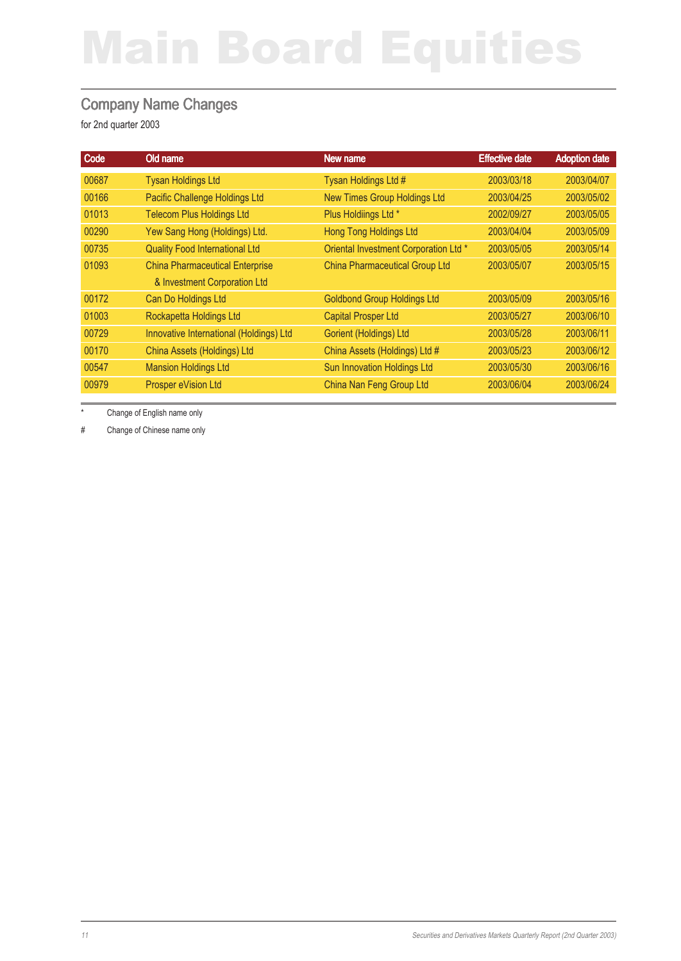#### Company Name Changes

for 2nd quarter 2003

|                                       | <b>Effective date</b> | <b>Adoption date</b> |
|---------------------------------------|-----------------------|----------------------|
| Tysan Holdings Ltd #                  | 2003/03/18            | 2003/04/07           |
| <b>New Times Group Holdings Ltd</b>   | 2003/04/25            | 2003/05/02           |
| Plus Holdiings Ltd *                  | 2002/09/27            | 2003/05/05           |
| <b>Hong Tong Holdings Ltd</b>         | 2003/04/04            | 2003/05/09           |
| Oriental Investment Corporation Ltd * | 2003/05/05            | 2003/05/14           |
| <b>China Pharmaceutical Group Ltd</b> | 2003/05/07            | 2003/05/15           |
|                                       |                       |                      |
| <b>Goldbond Group Holdings Ltd</b>    | 2003/05/09            | 2003/05/16           |
| <b>Capital Prosper Ltd</b>            | 2003/05/27            | 2003/06/10           |
| Gorient (Holdings) Ltd                | 2003/05/28            | 2003/06/11           |
| China Assets (Holdings) Ltd #         | 2003/05/23            | 2003/06/12           |
| <b>Sun Innovation Holdings Ltd</b>    | 2003/05/30            | 2003/06/16           |
| China Nan Feng Group Ltd              | 2003/06/04            | 2003/06/24           |
|                                       | New name              |                      |

\* Change of English name only

# Change of Chinese name only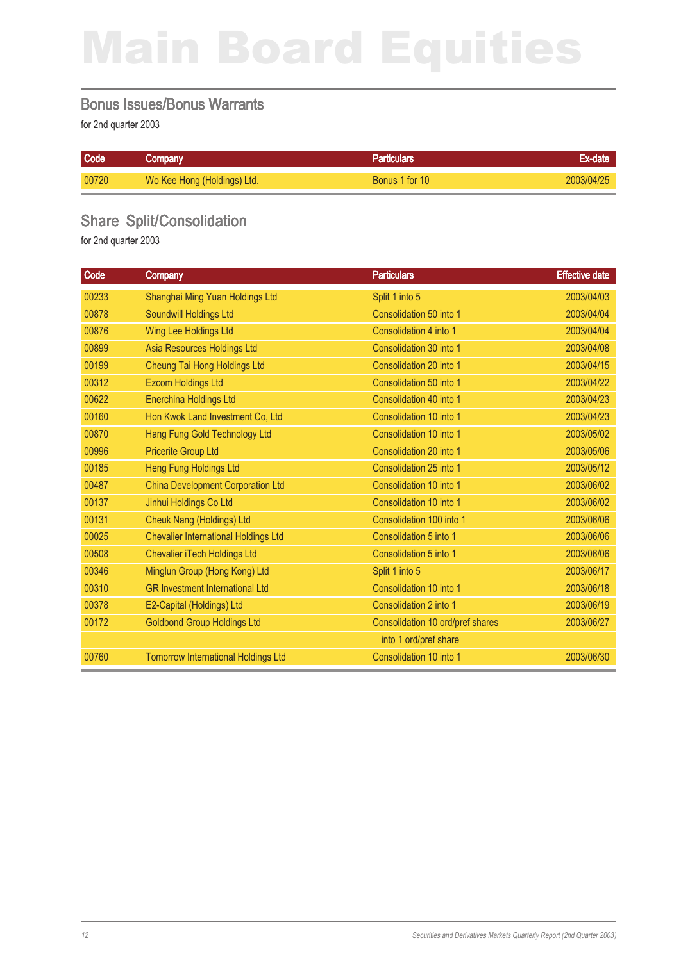#### Bonus Issues/Bonus Warrants

for 2nd quarter 2003

| Code  | Company                     | <b>Particulars</b> | Ex-date    |
|-------|-----------------------------|--------------------|------------|
| 00720 | Wo Kee Hong (Holdings) Ltd. | Bonus 1 for 10     | 2003/04/25 |

### Share Split/Consolidation

| Code  | <b>Company</b>                              | <b>Particulars</b>               | <b>Effective date</b> |
|-------|---------------------------------------------|----------------------------------|-----------------------|
| 00233 | Shanghai Ming Yuan Holdings Ltd             | Split 1 into 5                   | 2003/04/03            |
| 00878 | Soundwill Holdings Ltd                      | Consolidation 50 into 1          | 2003/04/04            |
| 00876 | Wing Lee Holdings Ltd                       | Consolidation 4 into 1           | 2003/04/04            |
| 00899 | Asia Resources Holdings Ltd                 | Consolidation 30 into 1          | 2003/04/08            |
| 00199 | Cheung Tai Hong Holdings Ltd                | Consolidation 20 into 1          | 2003/04/15            |
| 00312 | <b>Ezcom Holdings Ltd</b>                   | Consolidation 50 into 1          | 2003/04/22            |
| 00622 | <b>Enerchina Holdings Ltd</b>               | Consolidation 40 into 1          | 2003/04/23            |
| 00160 | Hon Kwok Land Investment Co, Ltd            | Consolidation 10 into 1          | 2003/04/23            |
| 00870 | Hang Fung Gold Technology Ltd               | Consolidation 10 into 1          | 2003/05/02            |
| 00996 | <b>Pricerite Group Ltd</b>                  | Consolidation 20 into 1          | 2003/05/06            |
| 00185 | Heng Fung Holdings Ltd                      | Consolidation 25 into 1          | 2003/05/12            |
| 00487 | <b>China Development Corporation Ltd</b>    | Consolidation 10 into 1          | 2003/06/02            |
| 00137 | Jinhui Holdings Co Ltd                      | Consolidation 10 into 1          | 2003/06/02            |
| 00131 | Cheuk Nang (Holdings) Ltd                   | Consolidation 100 into 1         | 2003/06/06            |
| 00025 | <b>Chevalier International Holdings Ltd</b> | Consolidation 5 into 1           | 2003/06/06            |
| 00508 | <b>Chevalier iTech Holdings Ltd</b>         | Consolidation 5 into 1           | 2003/06/06            |
| 00346 | Minglun Group (Hong Kong) Ltd               | Split 1 into 5                   | 2003/06/17            |
| 00310 | <b>GR Investment International Ltd</b>      | Consolidation 10 into 1          | 2003/06/18            |
| 00378 | E2-Capital (Holdings) Ltd                   | Consolidation 2 into 1           | 2003/06/19            |
| 00172 | <b>Goldbond Group Holdings Ltd</b>          | Consolidation 10 ord/pref shares | 2003/06/27            |
|       |                                             | into 1 ord/pref share            |                       |
| 00760 | <b>Tomorrow International Holdings Ltd</b>  | Consolidation 10 into 1          | 2003/06/30            |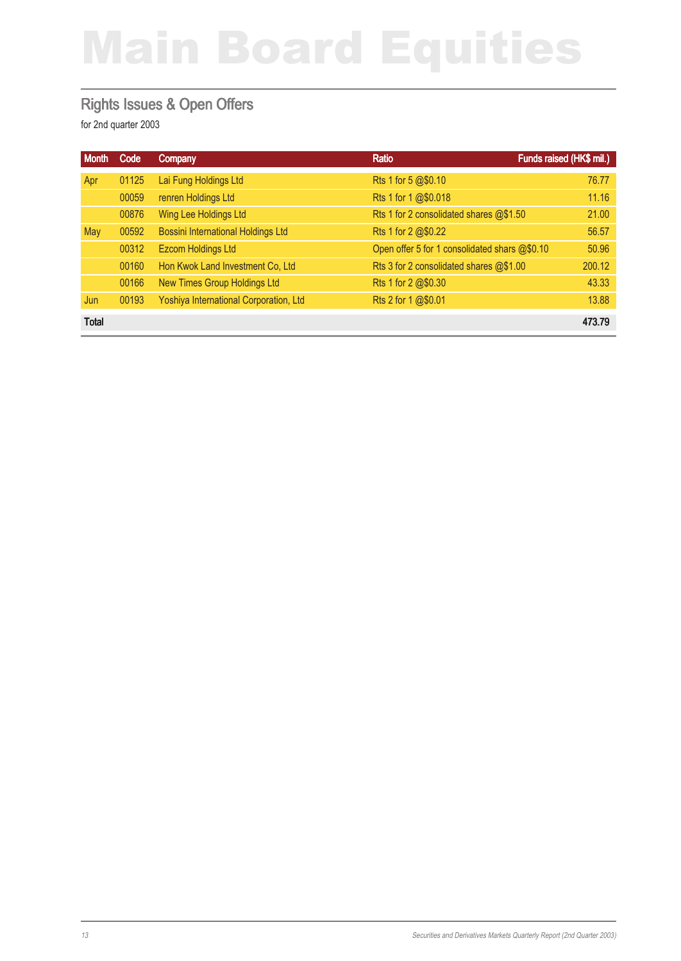#### Rights Issues & Open Offers

| <b>Month</b> | Code  | <b>Company</b>                            | Ratio                                         | Funds raised (HK\$ mil.) |
|--------------|-------|-------------------------------------------|-----------------------------------------------|--------------------------|
| Apr          | 01125 | Lai Fung Holdings Ltd                     | Rts 1 for 5 @\$0.10                           | 76.77                    |
|              | 00059 | renren Holdings Ltd                       | Rts 1 for 1 @\$0.018                          | 11.16                    |
|              | 00876 | Wing Lee Holdings Ltd                     | Rts 1 for 2 consolidated shares @\$1.50       | 21.00                    |
| May          | 00592 | <b>Bossini International Holdings Ltd</b> | Rts 1 for 2 @\$0.22                           | 56.57                    |
|              | 00312 | Ezcom Holdings Ltd                        | Open offer 5 for 1 consolidated shars @\$0.10 | 50.96                    |
|              | 00160 | Hon Kwok Land Investment Co, Ltd          | Rts 3 for 2 consolidated shares @\$1.00       | 200.12                   |
|              | 00166 | New Times Group Holdings Ltd              | Rts 1 for 2 @\$0.30                           | 43.33                    |
| Jun          | 00193 | Yoshiya International Corporation, Ltd    | Rts 2 for 1 @\$0.01                           | 13.88                    |
| <b>Total</b> |       |                                           |                                               | 473.79                   |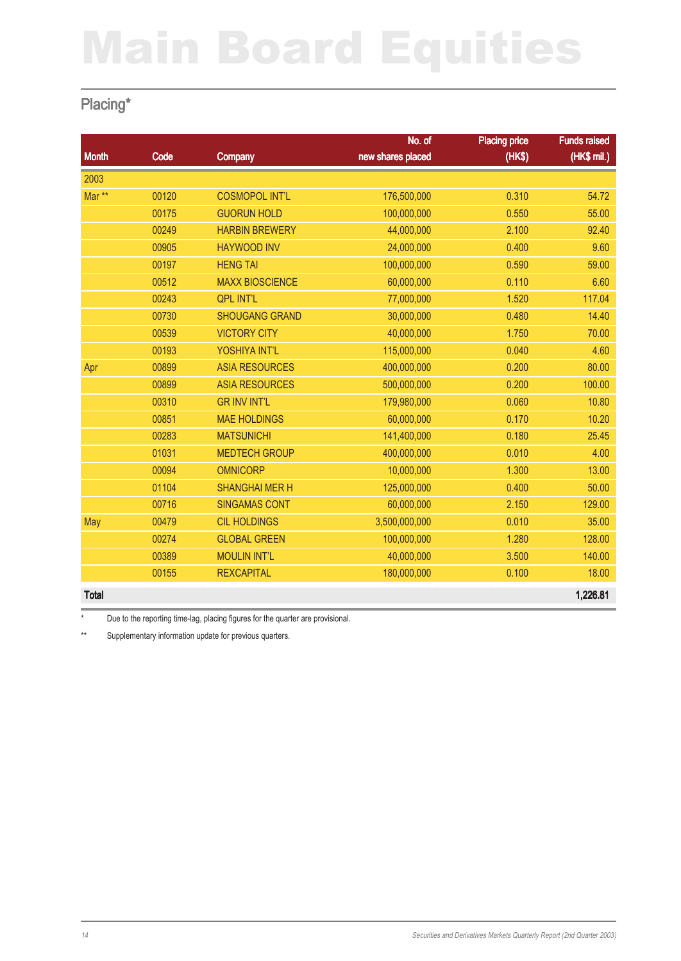### Placing\*

|                   |       |                        | No. of            | <b>Placing price</b> | <b>Funds raised</b> |
|-------------------|-------|------------------------|-------------------|----------------------|---------------------|
| <b>Month</b>      | Code  | Company                | new shares placed | (HK\$)               | $(HKS$ mil.)        |
| 2003              |       |                        |                   |                      |                     |
| Mar <sup>**</sup> | 00120 | <b>COSMOPOL INT'L</b>  | 176,500,000       | 0.310                | 54.72               |
|                   | 00175 | <b>GUORUN HOLD</b>     | 100,000,000       | 0.550                | 55.00               |
|                   | 00249 | <b>HARBIN BREWERY</b>  | 44,000,000        | 2.100                | 92.40               |
|                   | 00905 | <b>HAYWOOD INV</b>     | 24,000,000        | 0.400                | 9.60                |
|                   | 00197 | <b>HENG TAI</b>        | 100,000,000       | 0.590                | 59.00               |
|                   | 00512 | <b>MAXX BIOSCIENCE</b> | 60,000,000        | 0.110                | 6.60                |
|                   | 00243 | <b>QPL INT'L</b>       | 77,000,000        | 1.520                | 117.04              |
|                   | 00730 | <b>SHOUGANG GRAND</b>  | 30,000,000        | 0.480                | 14.40               |
|                   | 00539 | <b>VICTORY CITY</b>    | 40,000,000        | 1.750                | 70.00               |
|                   | 00193 | YOSHIYA INT'L          | 115,000,000       | 0.040                | 4.60                |
| Apr               | 00899 | <b>ASIA RESOURCES</b>  | 400,000,000       | 0.200                | 80.00               |
|                   | 00899 | <b>ASIA RESOURCES</b>  | 500,000,000       | 0.200                | 100.00              |
|                   | 00310 | <b>GR INV INT'L</b>    | 179,980,000       | 0.060                | 10.80               |
|                   | 00851 | <b>MAE HOLDINGS</b>    | 60,000,000        | 0.170                | 10.20               |
|                   | 00283 | <b>MATSUNICHI</b>      | 141,400,000       | 0.180                | 25.45               |
|                   | 01031 | <b>MEDTECH GROUP</b>   | 400,000,000       | 0.010                | 4.00                |
|                   | 00094 | <b>OMNICORP</b>        | 10,000,000        | 1.300                | 13.00               |
|                   | 01104 | <b>SHANGHAI MER H</b>  | 125,000,000       | 0.400                | 50.00               |
|                   | 00716 | <b>SINGAMAS CONT</b>   | 60,000,000        | 2.150                | 129.00              |
| May               | 00479 | <b>CIL HOLDINGS</b>    | 3,500,000,000     | 0.010                | 35.00               |
|                   | 00274 | <b>GLOBAL GREEN</b>    | 100,000,000       | 1.280                | 128.00              |
|                   | 00389 | <b>MOULIN INT'L</b>    | 40,000,000        | 3.500                | 140.00              |
|                   | 00155 | <b>REXCAPITAL</b>      | 180,000,000       | 0.100                | 18.00               |
| <b>Total</b>      |       |                        |                   |                      | 1,226.81            |

\* Due to the reporting time-lag, placing figures for the quarter are provisional.

\*\* Supplementary information update for previous quarters.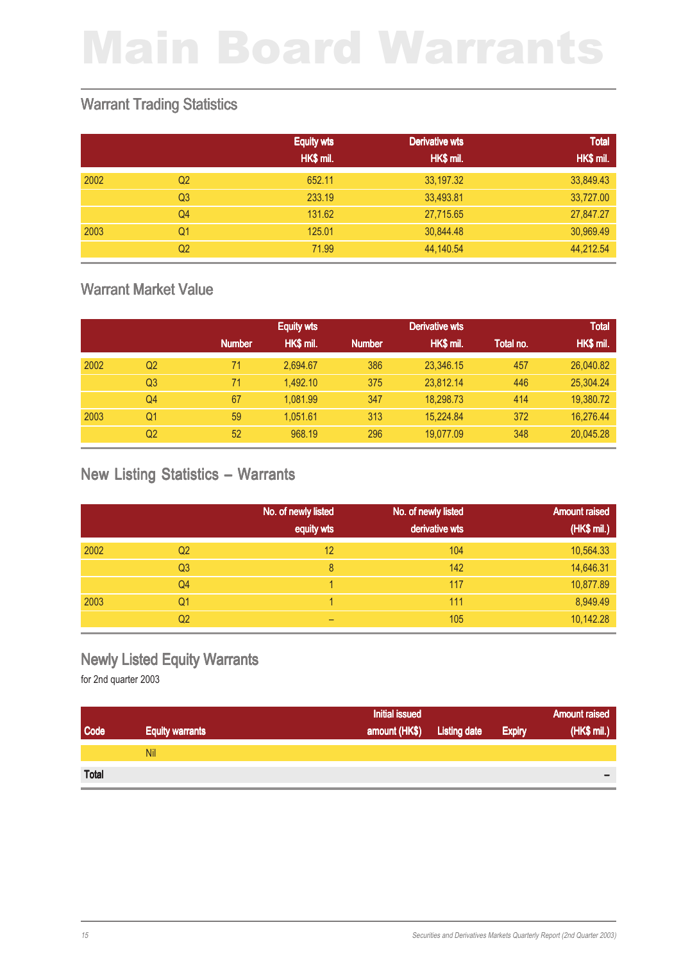#### Warrant Trading Statistics

|      |                | <b>Equity wts</b> | Derivative wts | <b>Total</b> |
|------|----------------|-------------------|----------------|--------------|
|      |                | HK\$ mil.         | HK\$ mil.      | HK\$ mil.    |
| 2002 | Q <sub>2</sub> | 652.11            | 33,197.32      | 33,849.43    |
|      | Q <sub>3</sub> | 233.19            | 33,493.81      | 33,727.00    |
|      | Q <sub>4</sub> | 131.62            | 27,715.65      | 27,847.27    |
| 2003 | Q1             | 125.01            | 30,844.48      | 30,969.49    |
|      | Q <sub>2</sub> | 71.99             | 44,140.54      | 44,212.54    |

#### Warrant Market Value

|      |                |               | <b>Equity wts</b> |               | <b>Derivative wts</b> |           | <b>Total</b> |
|------|----------------|---------------|-------------------|---------------|-----------------------|-----------|--------------|
|      |                | <b>Number</b> | HK\$ mil.         | <b>Number</b> | HK\$ mil.             | Total no. | HK\$ mil.    |
| 2002 | Q2             | 71            | 2,694.67          | 386           | 23,346.15             | 457       | 26,040.82    |
|      | Q <sub>3</sub> | 71            | 1.492.10          | 375           | 23,812.14             | 446       | 25,304.24    |
|      | Q <sub>4</sub> | 67            | 1.081.99          | 347           | 18,298.73             | 414       | 19,380.72    |
| 2003 | Q1             | 59            | 1,051.61          | 313           | 15.224.84             | 372       | 16,276.44    |
|      | Q <sub>2</sub> | 52            | 968.19            | 296           | 19.077.09             | 348       | 20.045.28    |

#### New Listing Statistics – Warrants

|      |                | No. of newly listed | No. of newly listed | <b>Amount raised</b> |
|------|----------------|---------------------|---------------------|----------------------|
|      |                | equity wts          | derivative wts      | (HK\$ mil.)          |
| 2002 | Q <sub>2</sub> | 12                  | 104                 | 10,564.33            |
|      | Q <sub>3</sub> | 8                   | 142                 | 14,646.31            |
|      | Q <sub>4</sub> |                     | 117                 | 10,877.89            |
| 2003 | Q1             |                     | 111                 | 8,949.49             |
|      | Q <sub>2</sub> | -                   | 105                 | 10,142.28            |

#### Newly Listed Equity Warrants

|              |                        | <b>Initial issued</b> |                     |               | <b>Amount raised</b>     |
|--------------|------------------------|-----------------------|---------------------|---------------|--------------------------|
| Code         | <b>Equity warrants</b> | amount (HK\$)         | <b>Listing date</b> | <b>Expiry</b> | (HK\$ mil.)              |
|              | Nil                    |                       |                     |               |                          |
| <b>Total</b> |                        |                       |                     |               | $\overline{\phantom{0}}$ |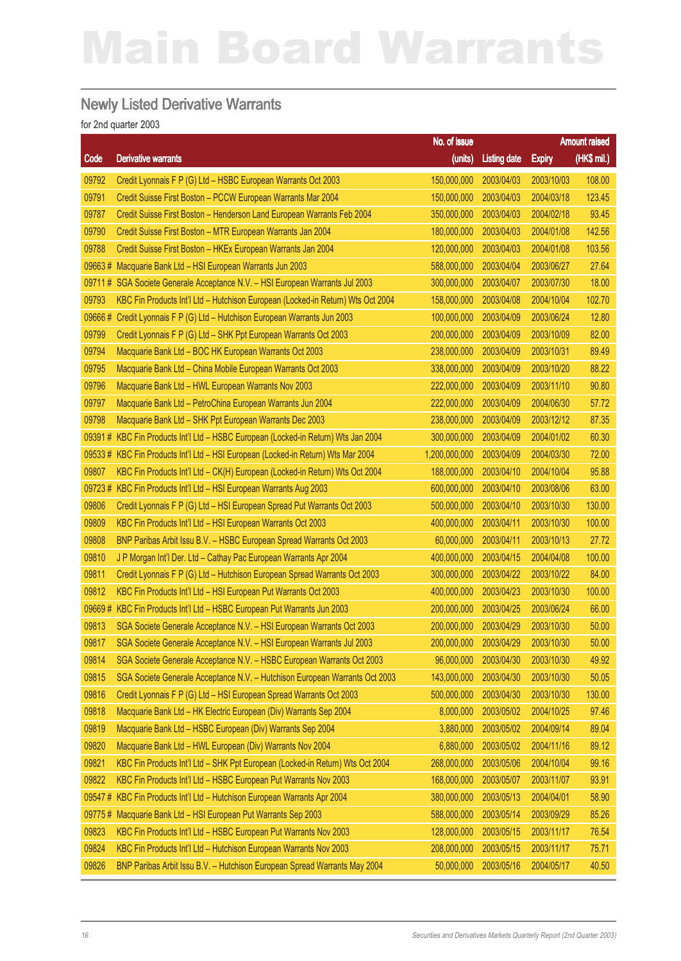#### Newly Listed Derivative Warrants

|        |                                                                                 | No. of issue  |                     |               | <b>Amount raised</b> |
|--------|---------------------------------------------------------------------------------|---------------|---------------------|---------------|----------------------|
| Code   | <b>Derivative warrants</b>                                                      | (units)       | <b>Listing date</b> | <b>Expiry</b> | (HK\$ mil.)          |
| 09792  | Credit Lyonnais F P (G) Ltd - HSBC European Warrants Oct 2003                   | 150,000,000   | 2003/04/03          | 2003/10/03    | 108.00               |
| 09791  | Credit Suisse First Boston - PCCW European Warrants Mar 2004                    | 150,000,000   | 2003/04/03          | 2004/03/18    | 123.45               |
| 09787  | Credit Suisse First Boston - Henderson Land European Warrants Feb 2004          | 350,000,000   | 2003/04/03          | 2004/02/18    | 93.45                |
| 09790  | Credit Suisse First Boston - MTR European Warrants Jan 2004                     | 180,000,000   | 2003/04/03          | 2004/01/08    | 142.56               |
| 09788  | Credit Suisse First Boston - HKEx European Warrants Jan 2004                    | 120,000,000   | 2003/04/03          | 2004/01/08    | 103.56               |
| 09663# | Macquarie Bank Ltd - HSI European Warrants Jun 2003                             | 588,000,000   | 2003/04/04          | 2003/06/27    | 27.64                |
| 09711# | SGA Societe Generale Acceptance N.V. - HSI European Warrants Jul 2003           | 300,000,000   | 2003/04/07          | 2003/07/30    | 18.00                |
| 09793  | KBC Fin Products Int'l Ltd - Hutchison European (Locked-in Return) Wts Oct 2004 | 158,000,000   | 2003/04/08          | 2004/10/04    | 102.70               |
| 09666# | Credit Lyonnais F P (G) Ltd - Hutchison European Warrants Jun 2003              | 100,000,000   | 2003/04/09          | 2003/06/24    | 12.80                |
| 09799  | Credit Lyonnais F P (G) Ltd - SHK Ppt European Warrants Oct 2003                | 200,000,000   | 2003/04/09          | 2003/10/09    | 82.00                |
| 09794  | Macquarie Bank Ltd - BOC HK European Warrants Oct 2003                          | 238,000,000   | 2003/04/09          | 2003/10/31    | 89.49                |
| 09795  | Macquarie Bank Ltd - China Mobile European Warrants Oct 2003                    | 338,000,000   | 2003/04/09          | 2003/10/20    | 88.22                |
| 09796  | Macquarie Bank Ltd - HWL European Warrants Nov 2003                             | 222,000,000   | 2003/04/09          | 2003/11/10    | 90.80                |
| 09797  | Macquarie Bank Ltd - PetroChina European Warrants Jun 2004                      | 222,000,000   | 2003/04/09          | 2004/06/30    | 57.72                |
| 09798  | Macquarie Bank Ltd - SHK Ppt European Warrants Dec 2003                         | 238,000,000   | 2003/04/09          | 2003/12/12    | 87.35                |
| 09391# | KBC Fin Products Int'l Ltd - HSBC European (Locked-in Return) Wts Jan 2004      | 300,000,000   | 2003/04/09          | 2004/01/02    | 60.30                |
| 09533# | KBC Fin Products Int'l Ltd - HSI European (Locked-in Return) Wts Mar 2004       | 1,200,000,000 | 2003/04/09          | 2004/03/30    | 72.00                |
| 09807  | KBC Fin Products Int'l Ltd - CK(H) European (Locked-in Return) Wts Oct 2004     | 188,000,000   | 2003/04/10          | 2004/10/04    | 95.88                |
| 09723# | KBC Fin Products Int'l Ltd - HSI European Warrants Aug 2003                     | 600,000,000   | 2003/04/10          | 2003/08/06    | 63.00                |
| 09806  | Credit Lyonnais F P (G) Ltd - HSI European Spread Put Warrants Oct 2003         | 500,000,000   | 2003/04/10          | 2003/10/30    | 130.00               |
| 09809  | KBC Fin Products Int'l Ltd - HSI European Warrants Oct 2003                     | 400,000,000   | 2003/04/11          | 2003/10/30    | 100.00               |
| 09808  | BNP Paribas Arbit Issu B.V. - HSBC European Spread Warrants Oct 2003            | 60,000,000    | 2003/04/11          | 2003/10/13    | 27.72                |
| 09810  | J P Morgan Int'l Der. Ltd - Cathay Pac European Warrants Apr 2004               | 400,000,000   | 2003/04/15          | 2004/04/08    | 100.00               |
| 09811  | Credit Lyonnais F P (G) Ltd - Hutchison European Spread Warrants Oct 2003       | 300,000,000   | 2003/04/22          | 2003/10/22    | 84.00                |
| 09812  | KBC Fin Products Int'l Ltd - HSI European Put Warrants Oct 2003                 | 400,000,000   | 2003/04/23          | 2003/10/30    | 100.00               |
| 09669# | KBC Fin Products Int'l Ltd - HSBC European Put Warrants Jun 2003                | 200,000,000   | 2003/04/25          | 2003/06/24    | 66.00                |
| 09813  | SGA Societe Generale Acceptance N.V. - HSI European Warrants Oct 2003           | 200,000,000   | 2003/04/29          | 2003/10/30    | 50.00                |
| 09817  | SGA Societe Generale Acceptance N.V. - HSI European Warrants Jul 2003           | 200,000,000   | 2003/04/29          | 2003/10/30    | 50.00                |
| 09814  | SGA Societe Generale Acceptance N.V. - HSBC European Warrants Oct 2003          | 96,000,000    | 2003/04/30          | 2003/10/30    | 49.92                |
| 09815  | SGA Societe Generale Acceptance N.V. - Hutchison European Warrants Oct 2003     | 143,000,000   | 2003/04/30          | 2003/10/30    | 50.05                |
| 09816  | Credit Lyonnais F P (G) Ltd - HSI European Spread Warrants Oct 2003             | 500,000,000   | 2003/04/30          | 2003/10/30    | 130.00               |
| 09818  | Macquarie Bank Ltd - HK Electric European (Div) Warrants Sep 2004               | 8,000,000     | 2003/05/02          | 2004/10/25    | 97.46                |
| 09819  | Macquarie Bank Ltd - HSBC European (Div) Warrants Sep 2004                      | 3,880,000     | 2003/05/02          | 2004/09/14    | 89.04                |
| 09820  | Macquarie Bank Ltd - HWL European (Div) Warrants Nov 2004                       | 6,880,000     | 2003/05/02          | 2004/11/16    | 89.12                |
| 09821  | KBC Fin Products Int'l Ltd - SHK Ppt European (Locked-in Return) Wts Oct 2004   | 268,000,000   | 2003/05/06          | 2004/10/04    | 99.16                |
| 09822  | KBC Fin Products Int'l Ltd - HSBC European Put Warrants Nov 2003                | 168,000,000   | 2003/05/07          | 2003/11/07    | 93.91                |
| 09547# | KBC Fin Products Int'l Ltd - Hutchison European Warrants Apr 2004               | 380,000,000   | 2003/05/13          | 2004/04/01    | 58.90                |
| 09775# | Macquarie Bank Ltd - HSI European Put Warrants Sep 2003                         | 588,000,000   | 2003/05/14          | 2003/09/29    | 85.26                |
| 09823  | KBC Fin Products Int'l Ltd - HSBC European Put Warrants Nov 2003                | 128,000,000   | 2003/05/15          | 2003/11/17    | 76.54                |
| 09824  | KBC Fin Products Int'l Ltd - Hutchison European Warrants Nov 2003               | 208,000,000   | 2003/05/15          | 2003/11/17    | 75.71                |
| 09826  | BNP Paribas Arbit Issu B.V. - Hutchison European Spread Warrants May 2004       | 50,000,000    | 2003/05/16          | 2004/05/17    | 40.50                |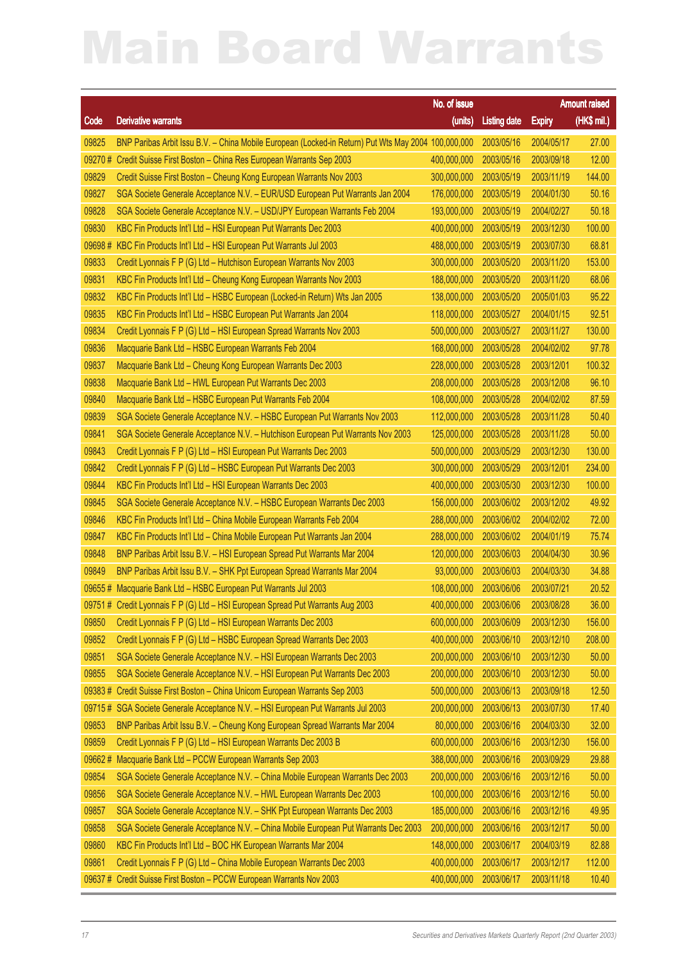|        |                                                                                                     | No. of issue           |                     |               | <b>Amount raised</b> |
|--------|-----------------------------------------------------------------------------------------------------|------------------------|---------------------|---------------|----------------------|
| Code   | <b>Derivative warrants</b>                                                                          | (units)                | <b>Listing date</b> | <b>Expiry</b> | $(HK$$ mil.)         |
| 09825  | BNP Paribas Arbit Issu B.V. - China Mobile European (Locked-in Return) Put Wts May 2004 100,000,000 |                        | 2003/05/16          | 2004/05/17    | 27.00                |
| 09270# | Credit Suisse First Boston - China Res European Warrants Sep 2003                                   | 400,000,000            | 2003/05/16          | 2003/09/18    | 12.00                |
| 09829  | Credit Suisse First Boston - Cheung Kong European Warrants Nov 2003                                 | 300,000,000            | 2003/05/19          | 2003/11/19    | 144.00               |
| 09827  | SGA Societe Generale Acceptance N.V. - EUR/USD European Put Warrants Jan 2004                       | 176,000,000            | 2003/05/19          | 2004/01/30    | 50.16                |
| 09828  | SGA Societe Generale Acceptance N.V. - USD/JPY European Warrants Feb 2004                           | 193,000,000            | 2003/05/19          | 2004/02/27    | 50.18                |
| 09830  | KBC Fin Products Int'l Ltd - HSI European Put Warrants Dec 2003                                     | 400,000,000            | 2003/05/19          | 2003/12/30    | 100.00               |
| 09698# | KBC Fin Products Int'l Ltd - HSI European Put Warrants Jul 2003                                     | 488,000,000            | 2003/05/19          | 2003/07/30    | 68.81                |
| 09833  | Credit Lyonnais F P (G) Ltd - Hutchison European Warrants Nov 2003                                  | 300,000,000            | 2003/05/20          | 2003/11/20    | 153.00               |
| 09831  | KBC Fin Products Int'l Ltd - Cheung Kong European Warrants Nov 2003                                 | 188,000,000            | 2003/05/20          | 2003/11/20    | 68.06                |
| 09832  | KBC Fin Products Int'l Ltd - HSBC European (Locked-in Return) Wts Jan 2005                          | 138,000,000            | 2003/05/20          | 2005/01/03    | 95.22                |
| 09835  | KBC Fin Products Int'l Ltd - HSBC European Put Warrants Jan 2004                                    | 118,000,000            | 2003/05/27          | 2004/01/15    | 92.51                |
| 09834  | Credit Lyonnais F P (G) Ltd - HSI European Spread Warrants Nov 2003                                 | 500,000,000            | 2003/05/27          | 2003/11/27    | 130.00               |
| 09836  | Macquarie Bank Ltd - HSBC European Warrants Feb 2004                                                | 168,000,000            | 2003/05/28          | 2004/02/02    | 97.78                |
| 09837  | Macquarie Bank Ltd - Cheung Kong European Warrants Dec 2003                                         | 228,000,000            | 2003/05/28          | 2003/12/01    | 100.32               |
| 09838  | Macquarie Bank Ltd - HWL European Put Warrants Dec 2003                                             | 208,000,000            | 2003/05/28          | 2003/12/08    | 96.10                |
| 09840  | Macquarie Bank Ltd - HSBC European Put Warrants Feb 2004                                            | 108,000,000            | 2003/05/28          | 2004/02/02    | 87.59                |
| 09839  | SGA Societe Generale Acceptance N.V. - HSBC European Put Warrants Nov 2003                          | 112,000,000            | 2003/05/28          | 2003/11/28    | 50.40                |
| 09841  | SGA Societe Generale Acceptance N.V. - Hutchison European Put Warrants Nov 2003                     | 125,000,000            | 2003/05/28          | 2003/11/28    | 50.00                |
| 09843  | Credit Lyonnais F P (G) Ltd - HSI European Put Warrants Dec 2003                                    | 500,000,000            | 2003/05/29          | 2003/12/30    | 130.00               |
| 09842  | Credit Lyonnais F P (G) Ltd - HSBC European Put Warrants Dec 2003                                   | 300,000,000            | 2003/05/29          | 2003/12/01    | 234.00               |
| 09844  | KBC Fin Products Int'l Ltd - HSI European Warrants Dec 2003                                         | 400,000,000            | 2003/05/30          | 2003/12/30    | 100.00               |
| 09845  | SGA Societe Generale Acceptance N.V. - HSBC European Warrants Dec 2003                              | 156,000,000            | 2003/06/02          | 2003/12/02    | 49.92                |
| 09846  | KBC Fin Products Int'l Ltd - China Mobile European Warrants Feb 2004                                | 288,000,000            | 2003/06/02          | 2004/02/02    | 72.00                |
| 09847  | KBC Fin Products Int'l Ltd - China Mobile European Put Warrants Jan 2004                            | 288,000,000            | 2003/06/02          | 2004/01/19    | 75.74                |
| 09848  | BNP Paribas Arbit Issu B.V. - HSI European Spread Put Warrants Mar 2004                             | 120,000,000            | 2003/06/03          | 2004/04/30    | 30.96                |
| 09849  | BNP Paribas Arbit Issu B.V. - SHK Ppt European Spread Warrants Mar 2004                             | 93,000,000             | 2003/06/03          | 2004/03/30    | 34.88                |
|        | 09655 # Macquarie Bank Ltd - HSBC European Put Warrants Jul 2003                                    | 108,000,000            | 2003/06/06          | 2003/07/21    | 20.52                |
|        | 09751 # Credit Lyonnais F P (G) Ltd - HSI European Spread Put Warrants Aug 2003                     | 400,000,000 2003/06/06 |                     | 2003/08/28    | 36.00                |
| 09850  | Credit Lyonnais F P (G) Ltd - HSI European Warrants Dec 2003                                        | 600,000,000            | 2003/06/09          | 2003/12/30    | 156.00               |
| 09852  | Credit Lyonnais F P (G) Ltd - HSBC European Spread Warrants Dec 2003                                | 400,000,000            | 2003/06/10          | 2003/12/10    | 208.00               |
| 09851  | SGA Societe Generale Acceptance N.V. - HSI European Warrants Dec 2003                               | 200,000,000            | 2003/06/10          | 2003/12/30    | 50.00                |
| 09855  | SGA Societe Generale Acceptance N.V. - HSI European Put Warrants Dec 2003                           | 200,000,000            | 2003/06/10          | 2003/12/30    | 50.00                |
| 09383# | Credit Suisse First Boston - China Unicom European Warrants Sep 2003                                | 500,000,000            | 2003/06/13          | 2003/09/18    | 12.50                |
|        | 09715 # SGA Societe Generale Acceptance N.V. - HSI European Put Warrants Jul 2003                   | 200,000,000            | 2003/06/13          | 2003/07/30    | 17.40                |
| 09853  | BNP Paribas Arbit Issu B.V. - Cheung Kong European Spread Warrants Mar 2004                         | 80,000,000             | 2003/06/16          | 2004/03/30    | 32.00                |
| 09859  | Credit Lyonnais F P (G) Ltd - HSI European Warrants Dec 2003 B                                      | 600,000,000            | 2003/06/16          | 2003/12/30    | 156.00               |
| 09662# | Macquarie Bank Ltd - PCCW European Warrants Sep 2003                                                | 388,000,000            | 2003/06/16          | 2003/09/29    | 29.88                |
| 09854  | SGA Societe Generale Acceptance N.V. - China Mobile European Warrants Dec 2003                      | 200,000,000            | 2003/06/16          | 2003/12/16    | 50.00                |
| 09856  | SGA Societe Generale Acceptance N.V. - HWL European Warrants Dec 2003                               | 100,000,000            | 2003/06/16          | 2003/12/16    | 50.00                |
| 09857  | SGA Societe Generale Acceptance N.V. - SHK Ppt European Warrants Dec 2003                           | 185,000,000            | 2003/06/16          | 2003/12/16    | 49.95                |
| 09858  | SGA Societe Generale Acceptance N.V. - China Mobile European Put Warrants Dec 2003                  | 200,000,000            | 2003/06/16          | 2003/12/17    | 50.00                |
| 09860  | KBC Fin Products Int'l Ltd - BOC HK European Warrants Mar 2004                                      | 148,000,000            | 2003/06/17          | 2004/03/19    | 82.88                |
| 09861  | Credit Lyonnais F P (G) Ltd - China Mobile European Warrants Dec 2003                               | 400,000,000            | 2003/06/17          | 2003/12/17    | 112.00               |
| 09637# | Credit Suisse First Boston - PCCW European Warrants Nov 2003                                        | 400,000,000            | 2003/06/17          | 2003/11/18    | 10.40                |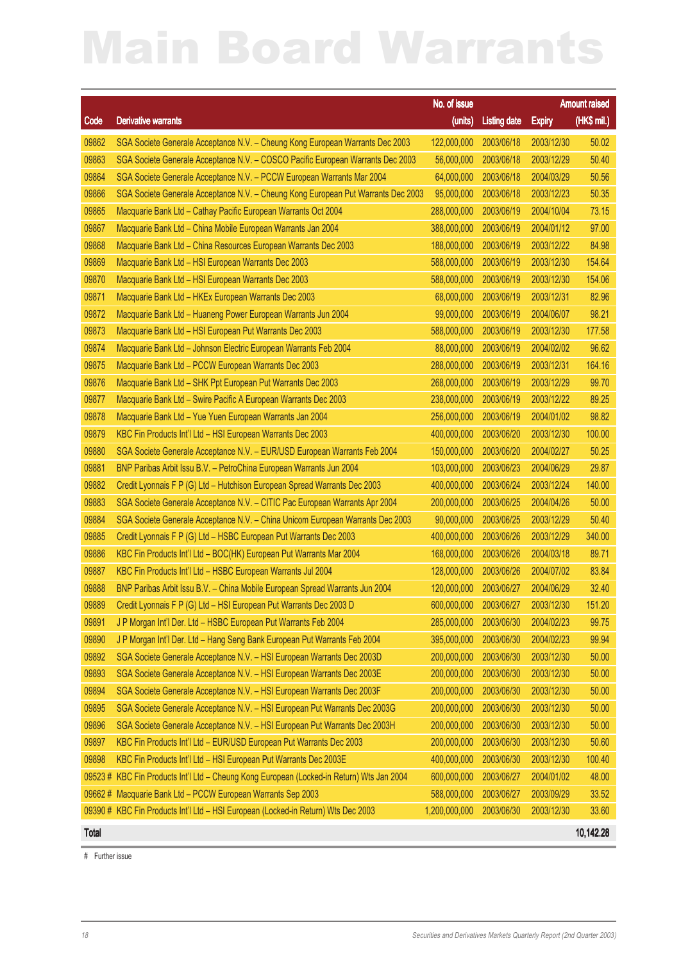|              |                                                                                   | No. of issue           |                     |               | <b>Amount raised</b> |
|--------------|-----------------------------------------------------------------------------------|------------------------|---------------------|---------------|----------------------|
| Code         | <b>Derivative warrants</b>                                                        | (units)                | <b>Listing date</b> | <b>Expiry</b> | (HK\$ mil.)          |
| 09862        | SGA Societe Generale Acceptance N.V. - Cheung Kong European Warrants Dec 2003     | 122,000,000            | 2003/06/18          | 2003/12/30    | 50.02                |
| 09863        | SGA Societe Generale Acceptance N.V. - COSCO Pacific European Warrants Dec 2003   | 56,000,000             | 2003/06/18          | 2003/12/29    | 50.40                |
| 09864        | SGA Societe Generale Acceptance N.V. - PCCW European Warrants Mar 2004            | 64,000,000             | 2003/06/18          | 2004/03/29    | 50.56                |
| 09866        | SGA Societe Generale Acceptance N.V. - Cheung Kong European Put Warrants Dec 2003 | 95,000,000             | 2003/06/18          | 2003/12/23    | 50.35                |
| 09865        | Macquarie Bank Ltd - Cathay Pacific European Warrants Oct 2004                    | 288,000,000            | 2003/06/19          | 2004/10/04    | 73.15                |
| 09867        | Macquarie Bank Ltd - China Mobile European Warrants Jan 2004                      | 388,000,000            | 2003/06/19          | 2004/01/12    | 97.00                |
| 09868        | Macquarie Bank Ltd - China Resources European Warrants Dec 2003                   | 188,000,000            | 2003/06/19          | 2003/12/22    | 84.98                |
| 09869        | Macquarie Bank Ltd - HSI European Warrants Dec 2003                               | 588,000,000            | 2003/06/19          | 2003/12/30    | 154.64               |
| 09870        | Macquarie Bank Ltd - HSI European Warrants Dec 2003                               | 588,000,000            | 2003/06/19          | 2003/12/30    | 154.06               |
| 09871        | Macquarie Bank Ltd - HKEx European Warrants Dec 2003                              | 68,000,000             | 2003/06/19          | 2003/12/31    | 82.96                |
| 09872        | Macquarie Bank Ltd - Huaneng Power European Warrants Jun 2004                     | 99,000,000             | 2003/06/19          | 2004/06/07    | 98.21                |
| 09873        | Macquarie Bank Ltd - HSI European Put Warrants Dec 2003                           | 588,000,000            | 2003/06/19          | 2003/12/30    | 177.58               |
| 09874        | Macquarie Bank Ltd - Johnson Electric European Warrants Feb 2004                  | 88,000,000             | 2003/06/19          | 2004/02/02    | 96.62                |
| 09875        | Macquarie Bank Ltd - PCCW European Warrants Dec 2003                              | 288,000,000            | 2003/06/19          | 2003/12/31    | 164.16               |
| 09876        | Macquarie Bank Ltd - SHK Ppt European Put Warrants Dec 2003                       | 268,000,000            | 2003/06/19          | 2003/12/29    | 99.70                |
| 09877        | Macquarie Bank Ltd - Swire Pacific A European Warrants Dec 2003                   | 238,000,000            | 2003/06/19          | 2003/12/22    | 89.25                |
| 09878        | Macquarie Bank Ltd - Yue Yuen European Warrants Jan 2004                          | 256,000,000            | 2003/06/19          | 2004/01/02    | 98.82                |
| 09879        | KBC Fin Products Int'l Ltd - HSI European Warrants Dec 2003                       | 400,000,000            | 2003/06/20          | 2003/12/30    | 100.00               |
| 09880        | SGA Societe Generale Acceptance N.V. - EUR/USD European Warrants Feb 2004         | 150,000,000            | 2003/06/20          | 2004/02/27    | 50.25                |
| 09881        | BNP Paribas Arbit Issu B.V. - PetroChina European Warrants Jun 2004               | 103,000,000            | 2003/06/23          | 2004/06/29    | 29.87                |
| 09882        | Credit Lyonnais F P (G) Ltd - Hutchison European Spread Warrants Dec 2003         | 400,000,000            | 2003/06/24          | 2003/12/24    | 140.00               |
| 09883        | SGA Societe Generale Acceptance N.V. - CITIC Pac European Warrants Apr 2004       | 200,000,000            | 2003/06/25          | 2004/04/26    | 50.00                |
| 09884        | SGA Societe Generale Acceptance N.V. - China Unicom European Warrants Dec 2003    | 90,000,000             | 2003/06/25          | 2003/12/29    | 50.40                |
| 09885        | Credit Lyonnais F P (G) Ltd - HSBC European Put Warrants Dec 2003                 | 400,000,000            | 2003/06/26          | 2003/12/29    | 340.00               |
| 09886        | KBC Fin Products Int'l Ltd - BOC(HK) European Put Warrants Mar 2004               | 168,000,000            | 2003/06/26          | 2004/03/18    | 89.71                |
| 09887        | KBC Fin Products Int'l Ltd - HSBC European Warrants Jul 2004                      | 128,000,000            | 2003/06/26          | 2004/07/02    | 83.84                |
| 09888        | BNP Paribas Arbit Issu B.V. - China Mobile European Spread Warrants Jun 2004      | 120,000,000            | 2003/06/27          | 2004/06/29    | 32.40                |
| 09889        | Credit Lyonnais F P (G) Ltd - HSI European Put Warrants Dec 2003 D                | 600,000,000 2003/06/27 |                     | 2003/12/30    | 151.20               |
| 09891        | J P Morgan Int'l Der. Ltd - HSBC European Put Warrants Feb 2004                   | 285,000,000            | 2003/06/30          | 2004/02/23    | 99.75                |
| 09890        | J P Morgan Int'l Der. Ltd - Hang Seng Bank European Put Warrants Feb 2004         | 395,000,000            | 2003/06/30          | 2004/02/23    | 99.94                |
| 09892        | SGA Societe Generale Acceptance N.V. - HSI European Warrants Dec 2003D            | 200,000,000            | 2003/06/30          | 2003/12/30    | 50.00                |
| 09893        | SGA Societe Generale Acceptance N.V. - HSI European Warrants Dec 2003E            | 200,000,000            | 2003/06/30          | 2003/12/30    | 50.00                |
| 09894        | SGA Societe Generale Acceptance N.V. - HSI European Warrants Dec 2003F            | 200,000,000            | 2003/06/30          | 2003/12/30    | 50.00                |
| 09895        | SGA Societe Generale Acceptance N.V. - HSI European Put Warrants Dec 2003G        | 200,000,000            | 2003/06/30          | 2003/12/30    | 50.00                |
| 09896        | SGA Societe Generale Acceptance N.V. - HSI European Put Warrants Dec 2003H        | 200,000,000            | 2003/06/30          | 2003/12/30    | 50.00                |
| 09897        | KBC Fin Products Int'l Ltd - EUR/USD European Put Warrants Dec 2003               | 200,000,000            | 2003/06/30          | 2003/12/30    | 50.60                |
| 09898        | KBC Fin Products Int'l Ltd - HSI European Put Warrants Dec 2003E                  | 400,000,000            | 2003/06/30          | 2003/12/30    | 100.40               |
| 09523#       | KBC Fin Products Int'l Ltd - Cheung Kong European (Locked-in Return) Wts Jan 2004 | 600,000,000            | 2003/06/27          | 2004/01/02    | 48.00                |
| 09662#       | Macquarie Bank Ltd - PCCW European Warrants Sep 2003                              | 588,000,000            | 2003/06/27          | 2003/09/29    | 33.52                |
|              | 09390 # KBC Fin Products Int'l Ltd - HSI European (Locked-in Return) Wts Dec 2003 | 1,200,000,000          | 2003/06/30          | 2003/12/30    | 33.60                |
| <b>Total</b> |                                                                                   |                        |                     |               | 10,142.28            |

# Further issue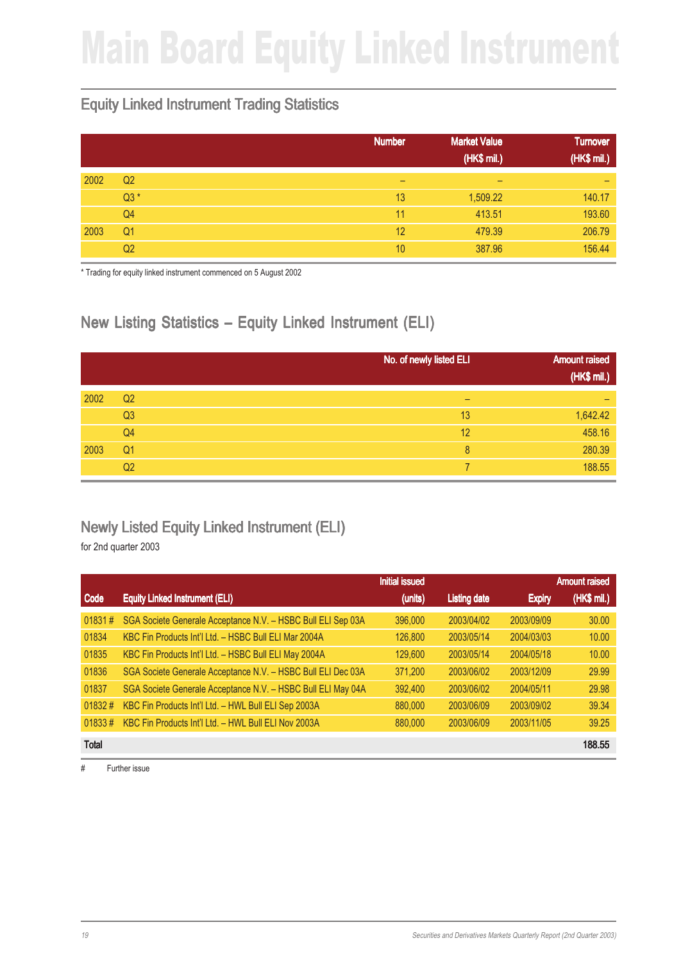## Main Board Equity Linked Instrument

#### Equity Linked Instrument Trading Statistics

|      |                | <b>Number</b> | <b>Market Value</b><br>(HK\$ mil.) | <b>Turnover</b><br>(HK\$ mil.) |
|------|----------------|---------------|------------------------------------|--------------------------------|
| 2002 | Q <sub>2</sub> | -             | $\overline{\phantom{0}}$           | -                              |
|      | $Q3*$          | 13            | 1,509.22                           | 140.17                         |
|      | Q4             | 11            | 413.51                             | 193.60                         |
| 2003 | Q <sub>1</sub> | 12            | 479.39                             | 206.79                         |
|      | Q2             | 10            | 387.96                             | 156.44                         |

\* Trading for equity linked instrument commenced on 5 August 2002

### New Listing Statistics – Equity Linked Instrument (ELI)

|      |                | No. of newly listed ELI | <b>Amount raised</b><br>(HK\$ mil.) |
|------|----------------|-------------------------|-------------------------------------|
| 2002 | Q <sub>2</sub> | -                       |                                     |
|      | Q3             | 13                      | 1,642.42                            |
|      | Q <sub>4</sub> | 12                      | 458.16                              |
| 2003 | Q <sub>1</sub> | 8                       | 280.39                              |
|      | Q <sub>2</sub> |                         | 188.55                              |

#### Newly Listed Equity Linked Instrument (ELI)

for 2nd quarter 2003

|              |                                                              | <b>Initial issued</b> |                     |               | <b>Amount raised</b> |
|--------------|--------------------------------------------------------------|-----------------------|---------------------|---------------|----------------------|
| Code         | <b>Equity Linked Instrument (ELI)</b>                        | (units)               | <b>Listing date</b> | <b>Expiry</b> | (HK\$ mil.)          |
| 01831#       | SGA Societe Generale Acceptance N.V. - HSBC Bull ELI Sep 03A | 396,000               | 2003/04/02          | 2003/09/09    | 30.00                |
| 01834        | KBC Fin Products Int'l Ltd. - HSBC Bull ELI Mar 2004A        | 126,800               | 2003/05/14          | 2004/03/03    | 10.00                |
| 01835        | KBC Fin Products Int'l Ltd. - HSBC Bull ELI May 2004A        | 129,600               | 2003/05/14          | 2004/05/18    | 10.00                |
| 01836        | SGA Societe Generale Acceptance N.V. - HSBC Bull ELI Dec 03A | 371,200               | 2003/06/02          | 2003/12/09    | 29.99                |
| 01837        | SGA Societe Generale Acceptance N.V. - HSBC Bull ELI May 04A | 392,400               | 2003/06/02          | 2004/05/11    | 29.98                |
| 01832#       | KBC Fin Products Int'l Ltd. - HWL Bull ELI Sep 2003A         | 880,000               | 2003/06/09          | 2003/09/02    | 39.34                |
| $01833 \#$   | KBC Fin Products Int'l Ltd. - HWL Bull ELI Nov 2003A         | 880,000               | 2003/06/09          | 2003/11/05    | 39.25                |
| <b>Total</b> |                                                              |                       |                     |               | 188.55               |

# Further issue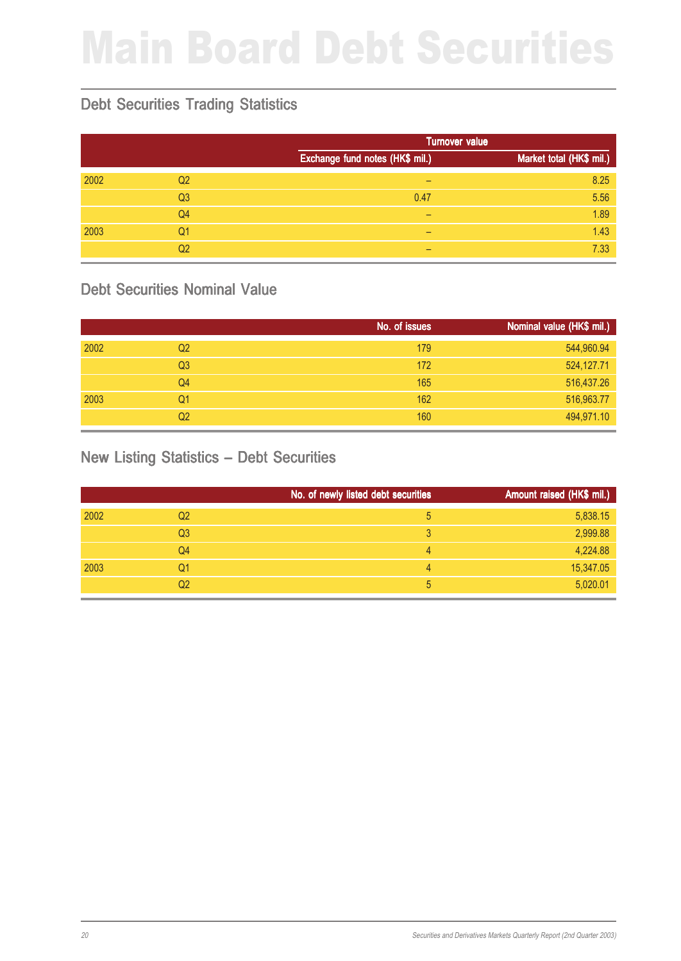# Main Board Debt Securities

### Debt Securities Trading Statistics

|      |                |                                 | <b>Turnover value</b>    |  |
|------|----------------|---------------------------------|--------------------------|--|
|      |                | Exchange fund notes (HK\$ mil.) | Market total (HK\$ mil.) |  |
| 2002 | Q <sub>2</sub> | -                               | 8.25                     |  |
|      | Q <sub>3</sub> | 0.47                            | 5.56                     |  |
|      | Q <sub>4</sub> | -                               | 1.89                     |  |
| 2003 | Q1             | -                               | 1.43                     |  |
|      | Q <sub>2</sub> | -                               | 7.33                     |  |

#### Debt Securities Nominal Value

|      |                | No. of issues | Nominal value (HK\$ mil.) |
|------|----------------|---------------|---------------------------|
| 2002 | Q <sub>2</sub> | 179           | 544,960.94                |
|      | Q <sub>3</sub> | 172           | 524,127.71                |
|      | Q4             | 165           | 516,437.26                |
| 2003 | Q1             | 162           | 516,963.77                |
|      | Q2             | 160           | 494,971.10                |

#### New Listing Statistics – Debt Securities

|      |                | No. of newly listed debt securities | Amount raised (HK\$ mil.) |
|------|----------------|-------------------------------------|---------------------------|
| 2002 | Q <sub>2</sub> | 5                                   | 5,838.15                  |
|      | Q <sub>3</sub> |                                     | 2,999.88                  |
|      | Q <sub>4</sub> | 4                                   | 4,224.88                  |
| 2003 | Q1             | 4                                   | 15,347.05                 |
|      | Q <sub>2</sub> | 5                                   | 5,020.01                  |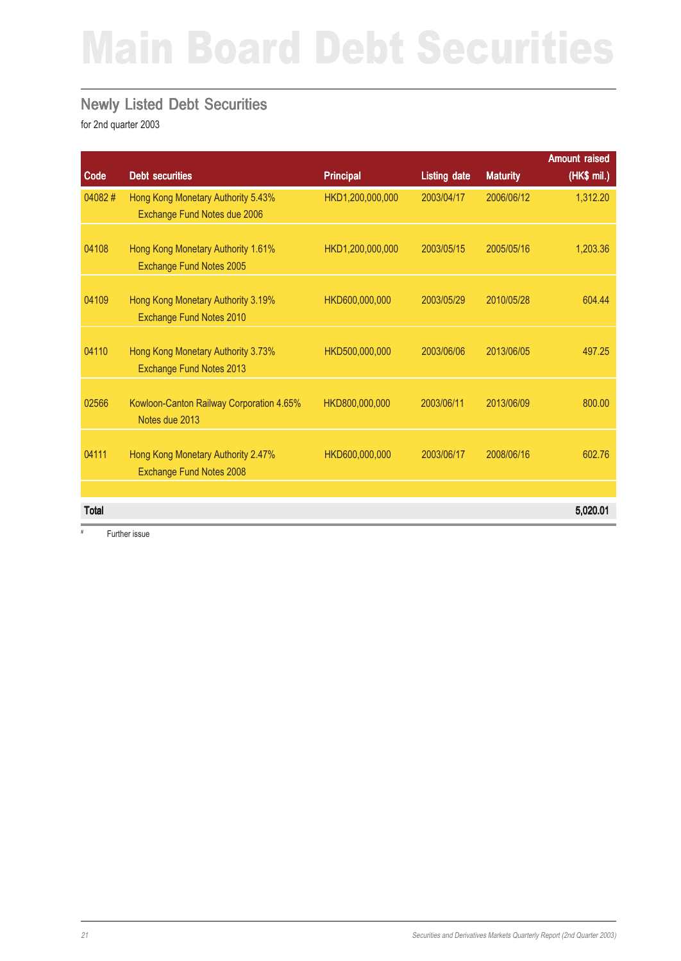## Main Board Debt Securities

#### Newly Listed Debt Securities

for 2nd quarter 2003

|              |                                                                       |                  |                     |                 | <b>Amount raised</b> |
|--------------|-----------------------------------------------------------------------|------------------|---------------------|-----------------|----------------------|
| Code         | <b>Debt securities</b>                                                | <b>Principal</b> | <b>Listing date</b> | <b>Maturity</b> | (HK\$ mil.)          |
| 04082#       | Hong Kong Monetary Authority 5.43%<br>Exchange Fund Notes due 2006    | HKD1,200,000,000 | 2003/04/17          | 2006/06/12      | 1,312.20             |
| 04108        | Hong Kong Monetary Authority 1.61%<br>Exchange Fund Notes 2005        | HKD1,200,000,000 | 2003/05/15          | 2005/05/16      | 1,203.36             |
| 04109        | Hong Kong Monetary Authority 3.19%<br>Exchange Fund Notes 2010        | HKD600,000,000   | 2003/05/29          | 2010/05/28      | 604.44               |
| 04110        | Hong Kong Monetary Authority 3.73%<br>Exchange Fund Notes 2013        | HKD500,000,000   | 2003/06/06          | 2013/06/05      | 497.25               |
| 02566        | Kowloon-Canton Railway Corporation 4.65%<br>Notes due 2013            | HKD800,000,000   | 2003/06/11          | 2013/06/09      | 800.00               |
| 04111        | Hong Kong Monetary Authority 2.47%<br><b>Exchange Fund Notes 2008</b> | HKD600,000,000   | 2003/06/17          | 2008/06/16      | 602.76               |
|              |                                                                       |                  |                     |                 |                      |
| <b>Total</b> |                                                                       |                  |                     |                 | 5,020.01             |

# Further issue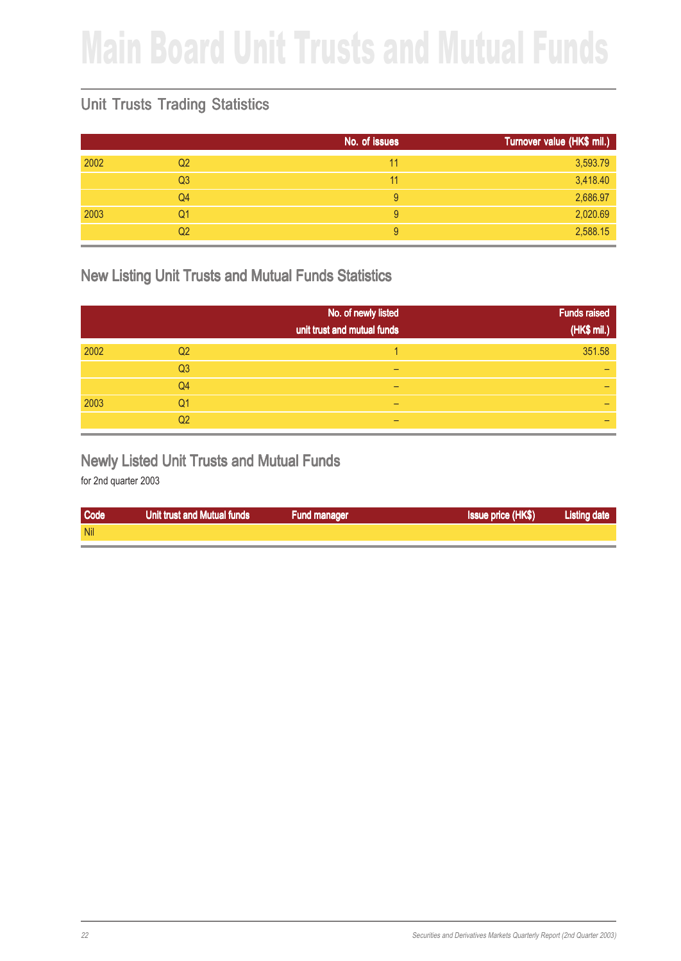## Main Board Unit Trusts and Mutual Funds

### Unit Trusts Trading Statistics

|      |                | No. of issues | Turnover value (HK\$ mil.) |
|------|----------------|---------------|----------------------------|
| 2002 | Q <sub>2</sub> | 11            | 3,593.79                   |
|      | Q <sub>3</sub> | 11            | 3,418.40                   |
|      | Q4             | 9             | 2,686.97                   |
| 2003 | Q1             | 9             | 2,020.69                   |
|      | Q <sub>2</sub> | 9             | 2,588.15                   |

#### New Listing Unit Trusts and Mutual Funds Statistics

|      |                | No. of newly listed<br>unit trust and mutual funds | <b>Funds raised</b><br>(HK\$ mil.) |
|------|----------------|----------------------------------------------------|------------------------------------|
| 2002 | Q <sub>2</sub> |                                                    | 351.58                             |
|      | Q <sub>3</sub> | -                                                  | _                                  |
|      | Q4             |                                                    |                                    |
| 2003 | Q1             |                                                    |                                    |
|      | Q2             |                                                    |                                    |

#### Newly Listed Unit Trusts and Mutual Funds

| Code       | Unit trust and Mutual funds | <b>Fund manager</b> | <b>Issue price (HK\$)</b> | <b>Listing date</b> |
|------------|-----------------------------|---------------------|---------------------------|---------------------|
| <b>Nil</b> |                             |                     |                           |                     |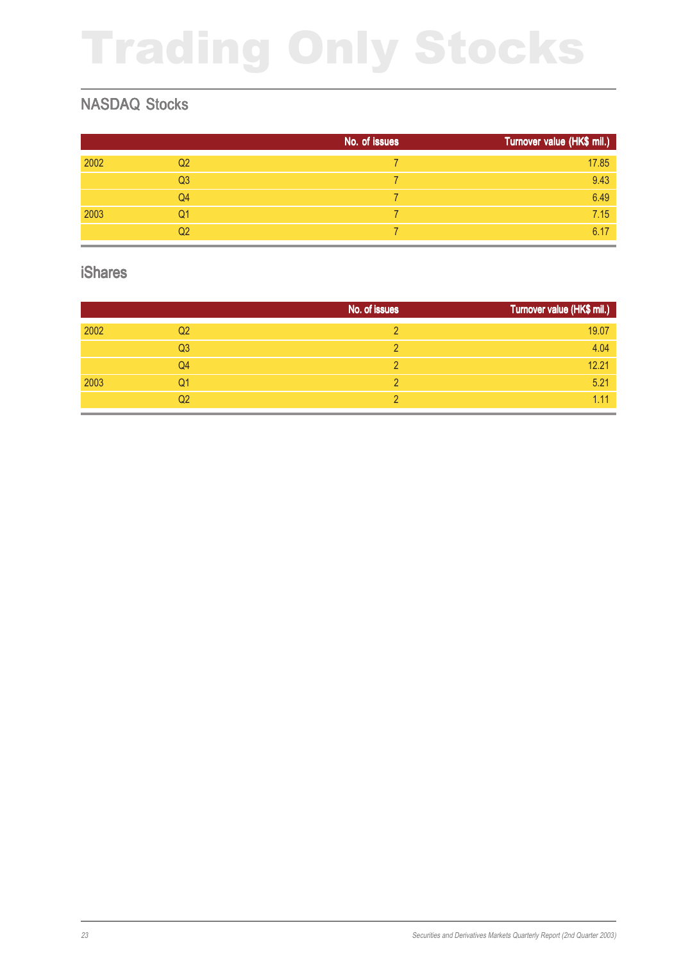# Trading Only Stocks

### NASDAQ Stocks

|      |                | No. of issues | Turnover value (HK\$ mil.) |
|------|----------------|---------------|----------------------------|
| 2002 | Q <sub>2</sub> |               | 17.85                      |
|      | Q <sub>3</sub> |               | 9.43                       |
|      | Q4             |               | 6.49                       |
| 2003 | Q1             |               | 7.15                       |
|      | Q2             |               | 6.17                       |

#### iShares

|      |                | No. of issues | Turnover value (HK\$ mil.) |
|------|----------------|---------------|----------------------------|
| 2002 | Q <sub>2</sub> |               | 19.07                      |
|      | Q <sub>3</sub> |               | 4.04                       |
|      | Q4             |               | 12.21                      |
| 2003 | Q1             |               | 5.21                       |
|      | Q2             |               | 1.11                       |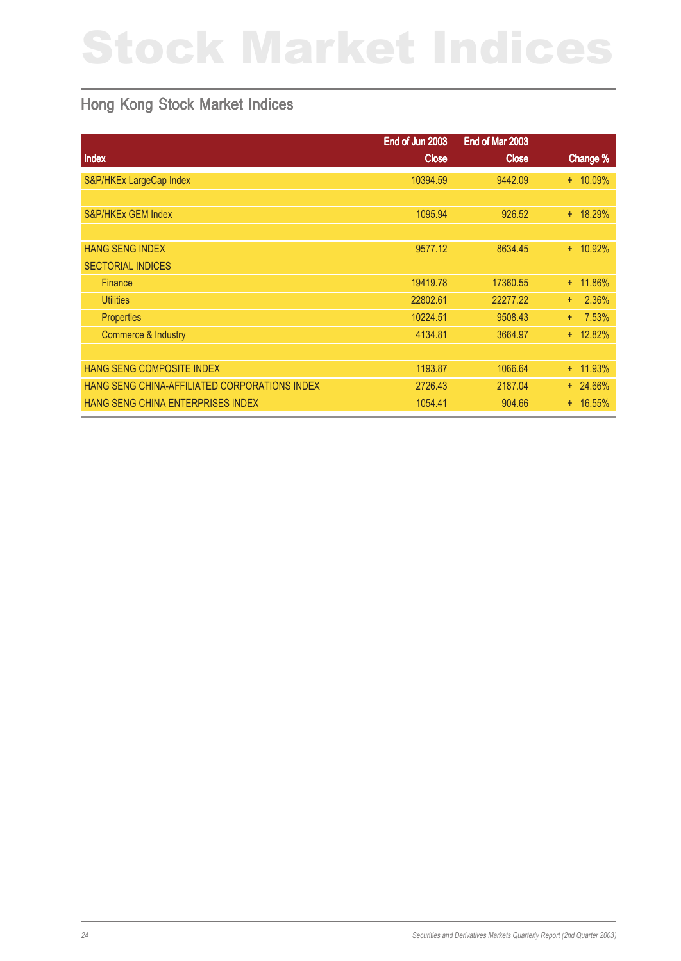# Stock Market Indices

### Hong Kong Stock Market Indices

|                                               | End of Jun 2003 | End of Mar 2003 |              |
|-----------------------------------------------|-----------------|-----------------|--------------|
| <b>Index</b>                                  | <b>Close</b>    | <b>Close</b>    | Change %     |
| S&P/HKEx LargeCap Index                       | 10394.59        | 9442.09         | $+ 10.09%$   |
|                                               |                 |                 |              |
| S&P/HKEx GEM Index                            | 1095.94         | 926.52          | $+ 18.29%$   |
|                                               |                 |                 |              |
| <b>HANG SENG INDEX</b>                        | 9577.12         | 8634.45         | $+ 10.92\%$  |
| <b>SECTORIAL INDICES</b>                      |                 |                 |              |
| Finance                                       | 19419.78        | 17360.55        | + 11.86%     |
| <b>Utilities</b>                              | 22802.61        | 22277.22        | 2.36%<br>$+$ |
| <b>Properties</b>                             | 10224.51        | 9508.43         | 7.53%<br>$+$ |
| Commerce & Industry                           | 4134.81         | 3664.97         | $+ 12.82%$   |
|                                               |                 |                 |              |
| HANG SENG COMPOSITE INDEX                     | 1193.87         | 1066.64         | $+ 11.93\%$  |
| HANG SENG CHINA-AFFILIATED CORPORATIONS INDEX | 2726.43         | 2187.04         | $+ 24.66\%$  |
| HANG SENG CHINA ENTERPRISES INDEX             | 1054.41         | 904.66          | $+ 16.55\%$  |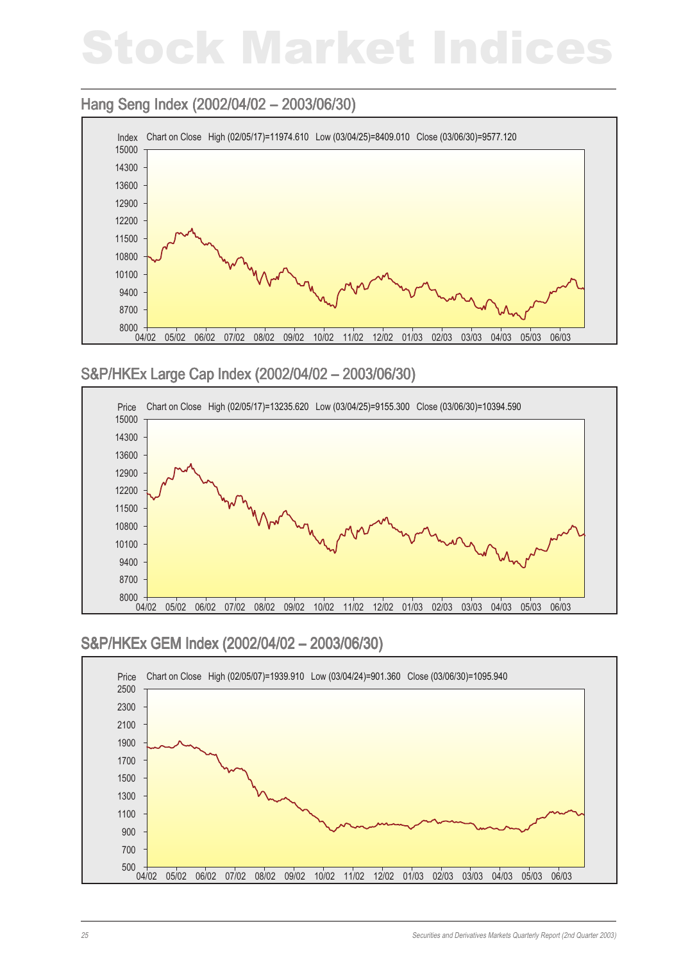## Stock Market Indices

#### Hang Seng Index (2002/04/02 – 2003/06/30)



#### S&P/HKEx Large Cap Index (2002/04/02 – 2003/06/30)



#### S&P/HKEx GEM Index (2002/04/02 – 2003/06/30)

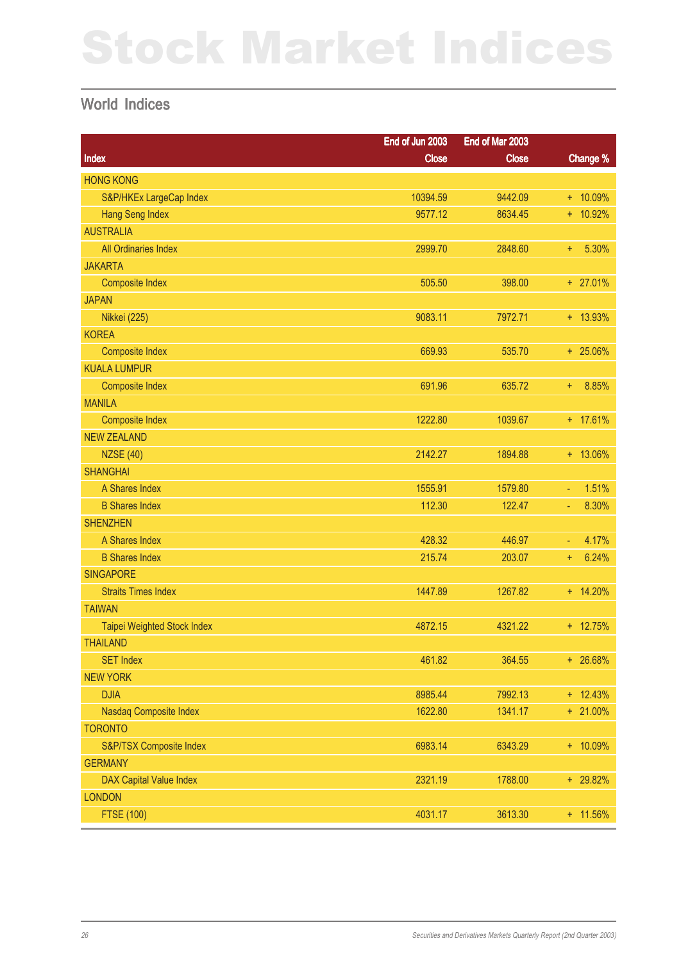# Stock Market Indices

#### World Indices

|                                | End of Jun 2003 | End of Mar 2003 |             |
|--------------------------------|-----------------|-----------------|-------------|
| Index                          | <b>Close</b>    | <b>Close</b>    | Change %    |
| <b>HONG KONG</b>               |                 |                 |             |
| S&P/HKEx LargeCap Index        | 10394.59        | 9442.09         | $+ 10.09%$  |
| <b>Hang Seng Index</b>         | 9577.12         | 8634.45         | $+ 10.92%$  |
| <b>AUSTRALIA</b>               |                 |                 |             |
| All Ordinaries Index           | 2999.70         | 2848.60         | 5.30%<br>÷  |
| <b>JAKARTA</b>                 |                 |                 |             |
| <b>Composite Index</b>         | 505.50          | 398.00          | $+ 27.01%$  |
| <b>JAPAN</b>                   |                 |                 |             |
| <b>Nikkei</b> (225)            | 9083.11         | 7972.71         | $+ 13.93%$  |
| <b>KOREA</b>                   |                 |                 |             |
| <b>Composite Index</b>         | 669.93          | 535.70          | $+ 25.06\%$ |
| <b>KUALA LUMPUR</b>            |                 |                 |             |
| <b>Composite Index</b>         | 691.96          | 635.72          | 8.85%<br>÷. |
| <b>MANILA</b>                  |                 |                 |             |
| <b>Composite Index</b>         | 1222.80         | 1039.67         | $+ 17.61%$  |
| <b>NEW ZEALAND</b>             |                 |                 |             |
| <b>NZSE (40)</b>               | 2142.27         | 1894.88         | $+ 13.06\%$ |
| <b>SHANGHAI</b>                |                 |                 |             |
| A Shares Index                 | 1555.91         | 1579.80         | 1.51%<br>÷  |
| <b>B Shares Index</b>          | 112.30          | 122.47          | 8.30%<br>Ξ  |
| <b>SHENZHEN</b>                |                 |                 |             |
| A Shares Index                 | 428.32          | 446.97          | 4.17%<br>Ξ  |
| <b>B Shares Index</b>          | 215.74          | 203.07          | 6.24%<br>÷. |
| <b>SINGAPORE</b>               |                 |                 |             |
| <b>Straits Times Index</b>     | 1447.89         | 1267.82         | $+ 14.20%$  |
| <b>TAIWAN</b>                  |                 |                 |             |
| Taipei Weighted Stock Index    | 4872.15         | 4321.22         | $+ 12.75%$  |
| <b>THAILAND</b>                |                 |                 |             |
| <b>SET Index</b>               | 461.82          | 364.55          | $+ 26.68%$  |
| <b>NEW YORK</b>                |                 |                 |             |
| <b>DJIA</b>                    | 8985.44         | 7992.13         | $+ 12.43%$  |
| Nasdaq Composite Index         | 1622.80         | 1341.17         | $+ 21.00\%$ |
| <b>TORONTO</b>                 |                 |                 |             |
| S&P/TSX Composite Index        | 6983.14         | 6343.29         | $+ 10.09%$  |
| <b>GERMANY</b>                 |                 |                 |             |
| <b>DAX Capital Value Index</b> | 2321.19         | 1788.00         | + 29.82%    |
| <b>LONDON</b>                  |                 |                 |             |
| <b>FTSE (100)</b>              | 4031.17         | 3613.30         | + 11.56%    |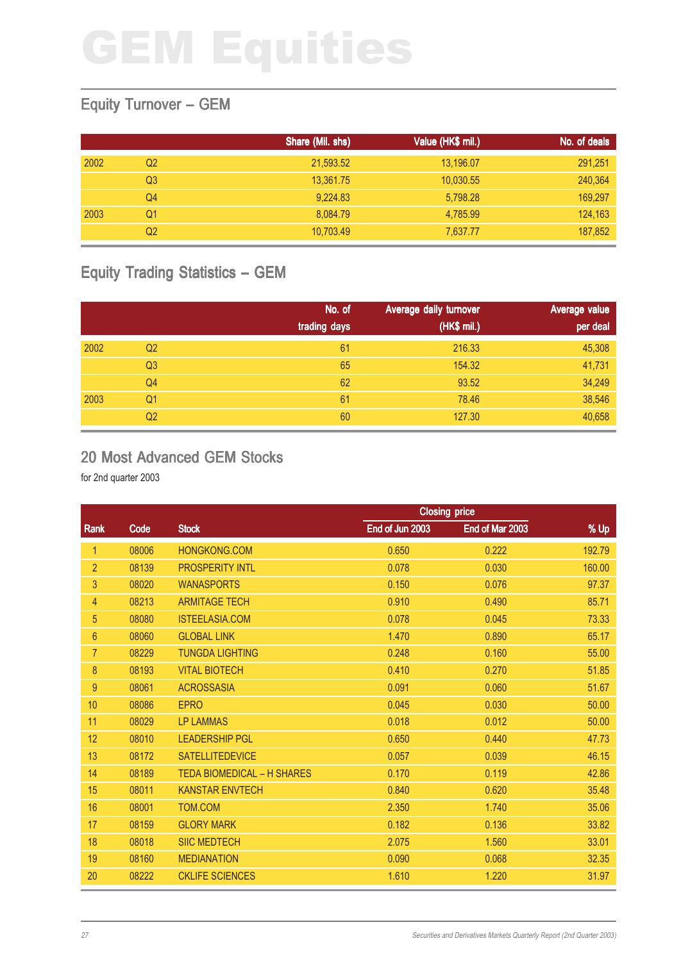### Equity Turnover – GEM

|      |    | Share (Mil. shs) | Value (HK\$ mil.) | No. of deals |
|------|----|------------------|-------------------|--------------|
| 2002 | Q2 | 21,593.52        | 13,196.07         | 291,251      |
|      | Q3 | 13,361.75        | 10,030.55         | 240,364      |
|      | Q4 | 9,224.83         | 5,798.28          | 169,297      |
| 2003 | Q1 | 8,084.79         | 4.785.99          | 124,163      |
|      | Q2 | 10,703.49        | 7,637.77          | 187,852      |

### Equity Trading Statistics – GEM

|      |                | No. of<br>trading days | Average daily turnover<br>(HK\$ mil.) | Average value<br>per deal |
|------|----------------|------------------------|---------------------------------------|---------------------------|
| 2002 | Q <sub>2</sub> | 61                     | 216.33                                | 45,308                    |
|      | Q <sub>3</sub> | 65                     | 154.32                                | 41,731                    |
|      | Q4             | 62                     | 93.52                                 | 34,249                    |
| 2003 | Q1             | 61                     | 78.46                                 | 38,546                    |
|      | Q <sub>2</sub> | 60                     | 127.30                                | 40,658                    |

#### 20 Most Advanced GEM Stocks

|                 |       | <b>Closing price</b>              |                 |                 |        |
|-----------------|-------|-----------------------------------|-----------------|-----------------|--------|
| Rank            | Code  | <b>Stock</b>                      | End of Jun 2003 | End of Mar 2003 | % Up   |
| 1               | 08006 | HONGKONG.COM                      | 0.650           | 0.222           | 192.79 |
| $\overline{2}$  | 08139 | <b>PROSPERITY INTL</b>            | 0.078           | 0.030           | 160.00 |
| 3               | 08020 | <b>WANASPORTS</b>                 | 0.150           | 0.076           | 97.37  |
| 4               | 08213 | <b>ARMITAGE TECH</b>              | 0.910           | 0.490           | 85.71  |
| 5               | 08080 | <b>ISTEELASIA.COM</b>             | 0.078           | 0.045           | 73.33  |
| $6\phantom{1}6$ | 08060 | <b>GLOBAL LINK</b>                | 1.470           | 0.890           | 65.17  |
| $\overline{7}$  | 08229 | <b>TUNGDA LIGHTING</b>            | 0.248           | 0.160           | 55.00  |
| 8               | 08193 | <b>VITAL BIOTECH</b>              | 0.410           | 0.270           | 51.85  |
| 9               | 08061 | <b>ACROSSASIA</b>                 | 0.091           | 0.060           | 51.67  |
| 10              | 08086 | <b>EPRO</b>                       | 0.045           | 0.030           | 50.00  |
| 11              | 08029 | <b>LP LAMMAS</b>                  | 0.018           | 0.012           | 50.00  |
| 12              | 08010 | <b>LEADERSHIP PGL</b>             | 0.650           | 0.440           | 47.73  |
| 13              | 08172 | <b>SATELLITEDEVICE</b>            | 0.057           | 0.039           | 46.15  |
| 14              | 08189 | <b>TEDA BIOMEDICAL - H SHARES</b> | 0.170           | 0.119           | 42.86  |
| 15              | 08011 | <b>KANSTAR ENVTECH</b>            | 0.840           | 0.620           | 35.48  |
| 16              | 08001 | TOM.COM                           | 2.350           | 1.740           | 35.06  |
| 17              | 08159 | <b>GLORY MARK</b>                 | 0.182           | 0.136           | 33.82  |
| 18              | 08018 | <b>SIIC MEDTECH</b>               | 2.075           | 1.560           | 33.01  |
| 19              | 08160 | <b>MEDIANATION</b>                | 0.090           | 0.068           | 32.35  |
| 20              | 08222 | <b>CKLIFE SCIENCES</b>            | 1.610           | 1.220           | 31.97  |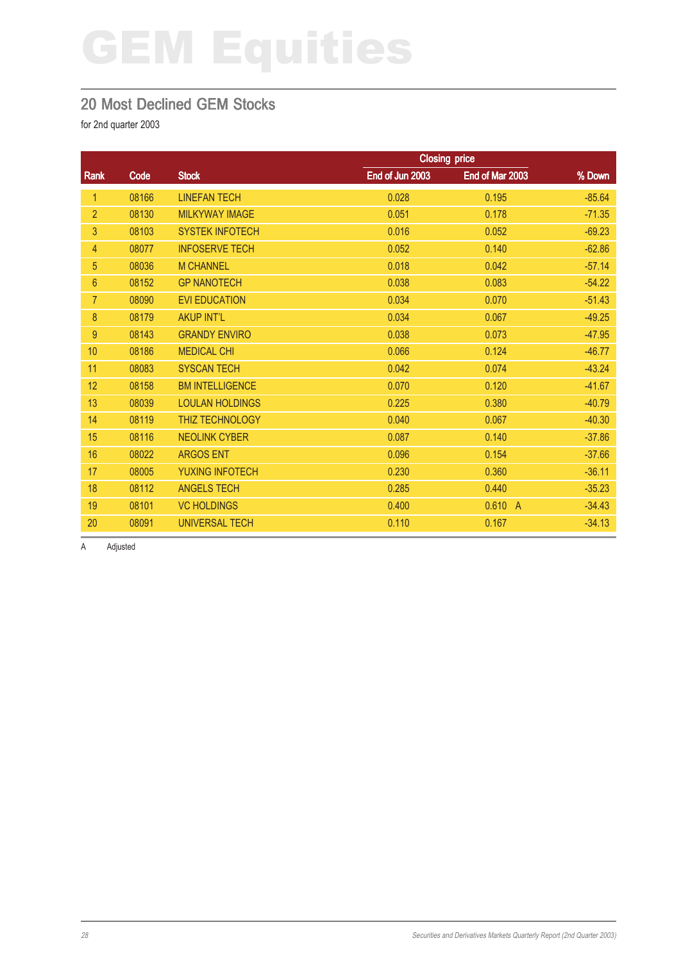#### 20 Most Declined GEM Stocks

for 2nd quarter 2003

|                |       |                        | <b>Closing price</b> |                 |          |
|----------------|-------|------------------------|----------------------|-----------------|----------|
| Rank           | Code  | <b>Stock</b>           | End of Jun 2003      | End of Mar 2003 | % Down   |
| 1              | 08166 | <b>LINEFAN TECH</b>    | 0.028                | 0.195           | $-85.64$ |
| $\overline{2}$ | 08130 | <b>MILKYWAY IMAGE</b>  | 0.051                | 0.178           | $-71.35$ |
| 3              | 08103 | <b>SYSTEK INFOTECH</b> | 0.016                | 0.052           | $-69.23$ |
| 4              | 08077 | <b>INFOSERVE TECH</b>  | 0.052                | 0.140           | $-62.86$ |
| 5              | 08036 | <b>M CHANNEL</b>       | 0.018                | 0.042           | $-57.14$ |
| $6\phantom{1}$ | 08152 | <b>GP NANOTECH</b>     | 0.038                | 0.083           | $-54.22$ |
| 7              | 08090 | <b>EVI EDUCATION</b>   | 0.034                | 0.070           | $-51.43$ |
| 8              | 08179 | <b>AKUP INT'L</b>      | 0.034                | 0.067           | $-49.25$ |
| 9              | 08143 | <b>GRANDY ENVIRO</b>   | 0.038                | 0.073           | $-47.95$ |
| 10             | 08186 | <b>MEDICAL CHI</b>     | 0.066                | 0.124           | $-46.77$ |
| 11             | 08083 | <b>SYSCAN TECH</b>     | 0.042                | 0.074           | $-43.24$ |
| 12             | 08158 | <b>BM INTELLIGENCE</b> | 0.070                | 0.120           | $-41.67$ |
| 13             | 08039 | <b>LOULAN HOLDINGS</b> | 0.225                | 0.380           | $-40.79$ |
| 14             | 08119 | THIZ TECHNOLOGY        | 0.040                | 0.067           | $-40.30$ |
| 15             | 08116 | <b>NEOLINK CYBER</b>   | 0.087                | 0.140           | $-37.86$ |
| 16             | 08022 | <b>ARGOS ENT</b>       | 0.096                | 0.154           | $-37.66$ |
| 17             | 08005 | <b>YUXING INFOTECH</b> | 0.230                | 0.360           | $-36.11$ |
| 18             | 08112 | <b>ANGELS TECH</b>     | 0.285                | 0.440           | $-35.23$ |
| 19             | 08101 | <b>VC HOLDINGS</b>     | 0.400                | 0.610 A         | $-34.43$ |
| 20             | 08091 | <b>UNIVERSAL TECH</b>  | 0.110                | 0.167           | $-34.13$ |

A Adjusted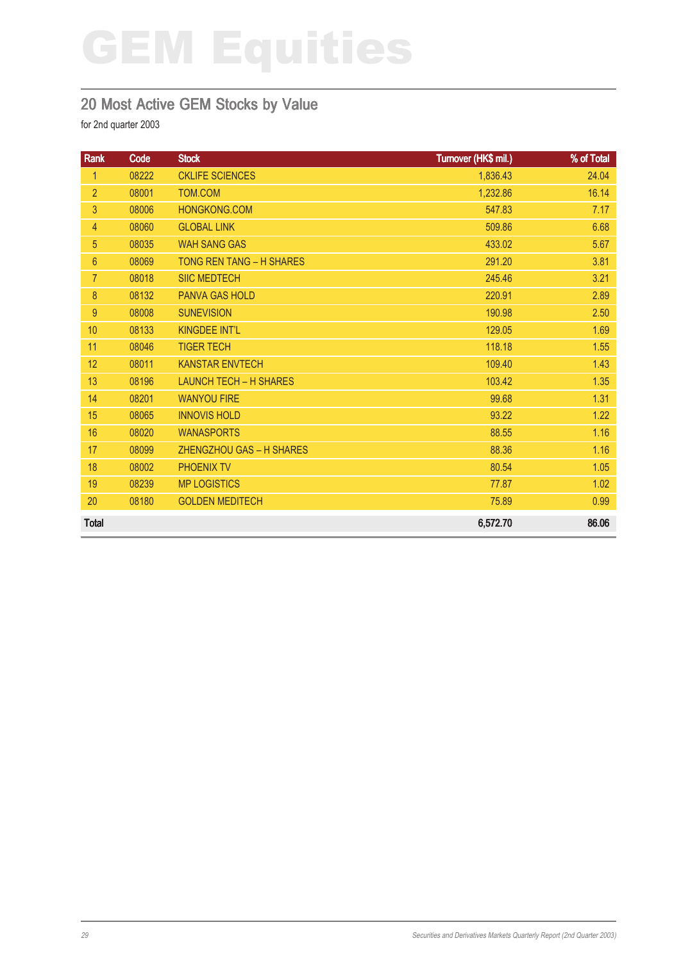### 20 Most Active GEM Stocks by Value

| Rank           | Code  | <b>Stock</b>                  | Turnover (HK\$ mil.) | % of Total |
|----------------|-------|-------------------------------|----------------------|------------|
| $\mathbf{1}$   | 08222 | <b>CKLIFE SCIENCES</b>        | 1,836.43             | 24.04      |
| $\overline{2}$ | 08001 | TOM.COM                       | 1,232.86             | 16.14      |
| 3              | 08006 | HONGKONG.COM                  | 547.83               | 7.17       |
| 4              | 08060 | <b>GLOBAL LINK</b>            | 509.86               | 6.68       |
| 5              | 08035 | <b>WAH SANG GAS</b>           | 433.02               | 5.67       |
| $6\phantom{a}$ | 08069 | TONG REN TANG - H SHARES      | 291.20               | 3.81       |
| $\overline{7}$ | 08018 | <b>SIIC MEDTECH</b>           | 245.46               | 3.21       |
| 8              | 08132 | <b>PANVA GAS HOLD</b>         | 220.91               | 2.89       |
| 9              | 08008 | <b>SUNEVISION</b>             | 190.98               | 2.50       |
| 10             | 08133 | <b>KINGDEE INT'L</b>          | 129.05               | 1.69       |
| 11             | 08046 | <b>TIGER TECH</b>             | 118.18               | 1.55       |
| 12             | 08011 | <b>KANSTAR ENVTECH</b>        | 109.40               | 1.43       |
| 13             | 08196 | <b>LAUNCH TECH - H SHARES</b> | 103.42               | 1.35       |
| 14             | 08201 | <b>WANYOU FIRE</b>            | 99.68                | 1.31       |
| 15             | 08065 | <b>INNOVIS HOLD</b>           | 93.22                | 1.22       |
| 16             | 08020 | <b>WANASPORTS</b>             | 88.55                | 1.16       |
| 17             | 08099 | ZHENGZHOU GAS - H SHARES      | 88.36                | 1.16       |
| 18             | 08002 | PHOENIX TV                    | 80.54                | 1.05       |
| 19             | 08239 | <b>MP LOGISTICS</b>           | 77.87                | 1.02       |
| 20             | 08180 | <b>GOLDEN MEDITECH</b>        | 75.89                | 0.99       |
| <b>Total</b>   |       |                               | 6,572.70             | 86.06      |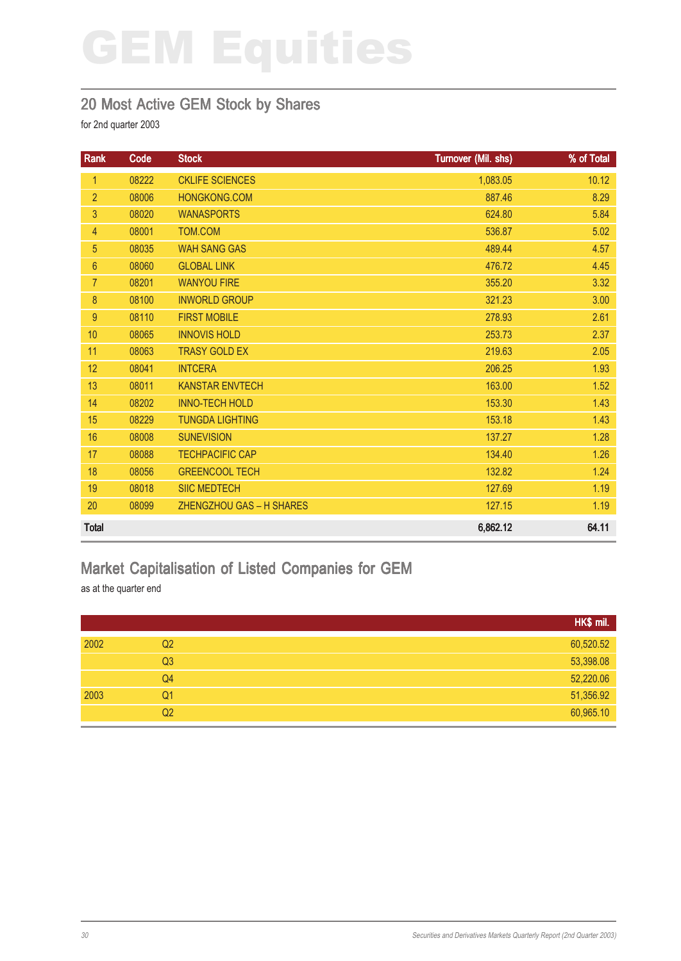#### 20 Most Active GEM Stock by Shares

for 2nd quarter 2003

| Rank            | Code  | <b>Stock</b>             | Turnover (Mil. shs) | % of Total |
|-----------------|-------|--------------------------|---------------------|------------|
| 1               | 08222 | <b>CKLIFE SCIENCES</b>   | 1,083.05            | 10.12      |
| $\overline{2}$  | 08006 | <b>HONGKONG.COM</b>      | 887.46              | 8.29       |
| 3               | 08020 | <b>WANASPORTS</b>        | 624.80              | 5.84       |
| 4               | 08001 | TOM.COM                  | 536.87              | 5.02       |
| 5               | 08035 | <b>WAH SANG GAS</b>      | 489.44              | 4.57       |
| $6\phantom{.}6$ | 08060 | <b>GLOBAL LINK</b>       | 476.72              | 4.45       |
| $\overline{7}$  | 08201 | <b>WANYOU FIRE</b>       | 355.20              | 3.32       |
| 8               | 08100 | <b>INWORLD GROUP</b>     | 321.23              | 3.00       |
| $9\,$           | 08110 | <b>FIRST MOBILE</b>      | 278.93              | 2.61       |
| 10              | 08065 | <b>INNOVIS HOLD</b>      | 253.73              | 2.37       |
| 11              | 08063 | <b>TRASY GOLD EX</b>     | 219.63              | 2.05       |
| 12              | 08041 | <b>INTCERA</b>           | 206.25              | 1.93       |
| 13              | 08011 | <b>KANSTAR ENVTECH</b>   | 163.00              | 1.52       |
| 14              | 08202 | <b>INNO-TECH HOLD</b>    | 153.30              | 1.43       |
| 15              | 08229 | <b>TUNGDA LIGHTING</b>   | 153.18              | 1.43       |
| 16              | 08008 | <b>SUNEVISION</b>        | 137.27              | 1.28       |
| 17              | 08088 | <b>TECHPACIFIC CAP</b>   | 134.40              | 1.26       |
| 18              | 08056 | <b>GREENCOOL TECH</b>    | 132.82              | 1.24       |
| 19              | 08018 | <b>SIIC MEDTECH</b>      | 127.69              | 1.19       |
| 20              | 08099 | ZHENGZHOU GAS - H SHARES | 127.15              | 1.19       |
| <b>Total</b>    |       |                          | 6,862.12            | 64.11      |

### Market Capitalisation of Listed Companies for GEM

as at the quarter end

|                        | HK\$ mil. |
|------------------------|-----------|
| 2002<br>Q <sub>2</sub> | 60,520.52 |
| Q <sub>3</sub>         | 53,398.08 |
| Q4                     | 52,220.06 |
| 2003<br>Q <sub>1</sub> | 51,356.92 |
| Q <sub>2</sub>         | 60,965.10 |
|                        |           |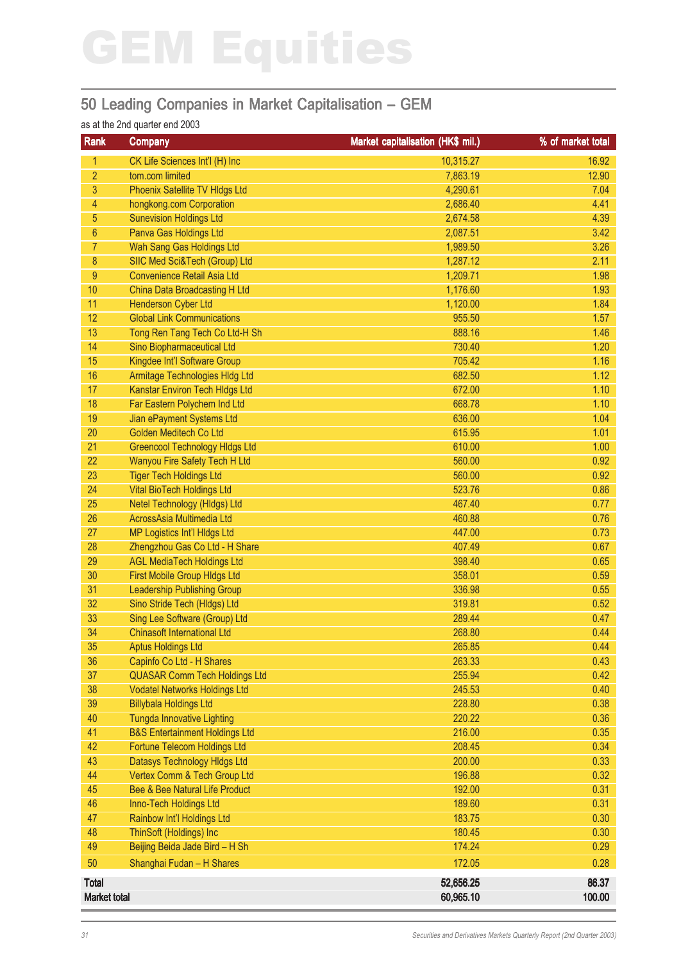### 50 Leading Companies in Market Capitalisation – GEM

#### as at the 2nd quarter end 2003

| Rank                | <b>Company</b>                                                | Market capitalisation (HK\$ mil.) | % of market total |
|---------------------|---------------------------------------------------------------|-----------------------------------|-------------------|
| 1                   | CK Life Sciences Int'l (H) Inc                                | 10,315.27                         | 16.92             |
| 2                   | tom.com limited                                               | 7,863.19                          | 12.90             |
| 3                   | Phoenix Satellite TV HIdgs Ltd                                | 4,290.61                          | 7.04              |
| $\overline{4}$      | hongkong.com Corporation                                      | 2,686.40                          | 4.41              |
| 5                   | <b>Sunevision Holdings Ltd</b>                                | 2,674.58                          | 4.39              |
| 6                   | Panva Gas Holdings Ltd                                        | 2,087.51                          | 3.42              |
| 7                   | Wah Sang Gas Holdings Ltd                                     | 1,989.50                          | 3.26              |
| 8                   | SIIC Med Sci&Tech (Group) Ltd                                 | 1,287.12                          | 2.11              |
| 9                   | <b>Convenience Retail Asia Ltd</b>                            | 1,209.71                          | 1.98              |
| 10                  | China Data Broadcasting H Ltd                                 | 1,176.60                          | 1.93              |
| 11                  | <b>Henderson Cyber Ltd</b>                                    | 1,120.00                          | 1.84              |
| 12                  | <b>Global Link Communications</b>                             | 955.50                            | 1.57              |
| 13                  | Tong Ren Tang Tech Co Ltd-H Sh                                | 888.16                            | 1.46              |
| 14                  | Sino Biopharmaceutical Ltd                                    | 730.40                            | 1.20              |
| 15                  | Kingdee Int'l Software Group                                  | 705.42                            | 1.16              |
| 16                  | Armitage Technologies HIdg Ltd                                | 682.50                            | 1.12              |
| 17                  | <b>Kanstar Environ Tech Hidgs Ltd</b>                         | 672.00                            | 1.10              |
| 18                  | Far Eastern Polychem Ind Ltd                                  | 668.78                            | 1.10              |
| 19                  | Jian ePayment Systems Ltd                                     | 636.00                            | 1.04              |
| 20                  | Golden Meditech Co Ltd                                        | 615.95                            | 1.01              |
| 21                  | <b>Greencool Technology Hidgs Ltd</b>                         | 610.00                            | 1.00              |
| 22                  | Wanyou Fire Safety Tech H Ltd                                 | 560.00                            | 0.92              |
| 23                  | <b>Tiger Tech Holdings Ltd</b>                                | 560.00                            | 0.92              |
| 24                  | <b>Vital BioTech Holdings Ltd</b>                             | 523.76                            | 0.86              |
| 25                  | Netel Technology (HIdgs) Ltd                                  | 467.40                            | 0.77              |
| 26                  | AcrossAsia Multimedia Ltd                                     | 460.88                            | 0.76              |
| 27                  | MP Logistics Int'l HIdgs Ltd                                  | 447.00                            | 0.73              |
| 28                  | Zhengzhou Gas Co Ltd - H Share                                | 407.49                            | 0.67              |
| 29                  | <b>AGL MediaTech Holdings Ltd</b>                             | 398.40                            | 0.65              |
| 30                  | First Mobile Group HIdgs Ltd                                  | 358.01                            | 0.59              |
| 31                  | <b>Leadership Publishing Group</b>                            | 336.98                            | 0.55              |
| 32<br>33            | Sino Stride Tech (Hldgs) Ltd<br>Sing Lee Software (Group) Ltd | 319.81<br>289.44                  | 0.52<br>0.47      |
| 34                  | <b>Chinasoft International Ltd</b>                            | 268.80                            | 0.44              |
| 35                  | <b>Aptus Holdings Ltd</b>                                     | 265.85                            | 0.44              |
| 36                  | Capinfo Co Ltd - H Shares                                     | 263.33                            | 0.43              |
| 37                  | <b>QUASAR Comm Tech Holdings Ltd</b>                          | 255.94                            | 0.42              |
| 38                  | <b>Vodatel Networks Holdings Ltd</b>                          | 245.53                            | 0.40              |
| 39                  | <b>Billybala Holdings Ltd</b>                                 | 228.80                            | 0.38              |
| 40                  | <b>Tungda Innovative Lighting</b>                             | 220.22                            | 0.36              |
| 41                  | <b>B&amp;S Entertainment Holdings Ltd</b>                     | 216.00                            | 0.35              |
| 42                  | Fortune Telecom Holdings Ltd                                  | 208.45                            | 0.34              |
| 43                  | Datasys Technology Hidgs Ltd                                  | 200.00                            | 0.33              |
| 44                  | Vertex Comm & Tech Group Ltd                                  | 196.88                            | 0.32              |
| 45                  | Bee & Bee Natural Life Product                                | 192.00                            | 0.31              |
| 46                  | Inno-Tech Holdings Ltd                                        | 189.60                            | 0.31              |
| 47                  | Rainbow Int'l Holdings Ltd                                    | 183.75                            | 0.30              |
| 48                  | ThinSoft (Holdings) Inc                                       | 180.45                            | 0.30              |
| 49                  | Beijing Beida Jade Bird - H Sh                                | 174.24                            | 0.29              |
| 50                  | Shanghai Fudan - H Shares                                     | 172.05                            | 0.28              |
| <b>Total</b>        |                                                               | 52,656.25                         | 86.37             |
| <b>Market total</b> |                                                               | 60,965.10                         | 100.00            |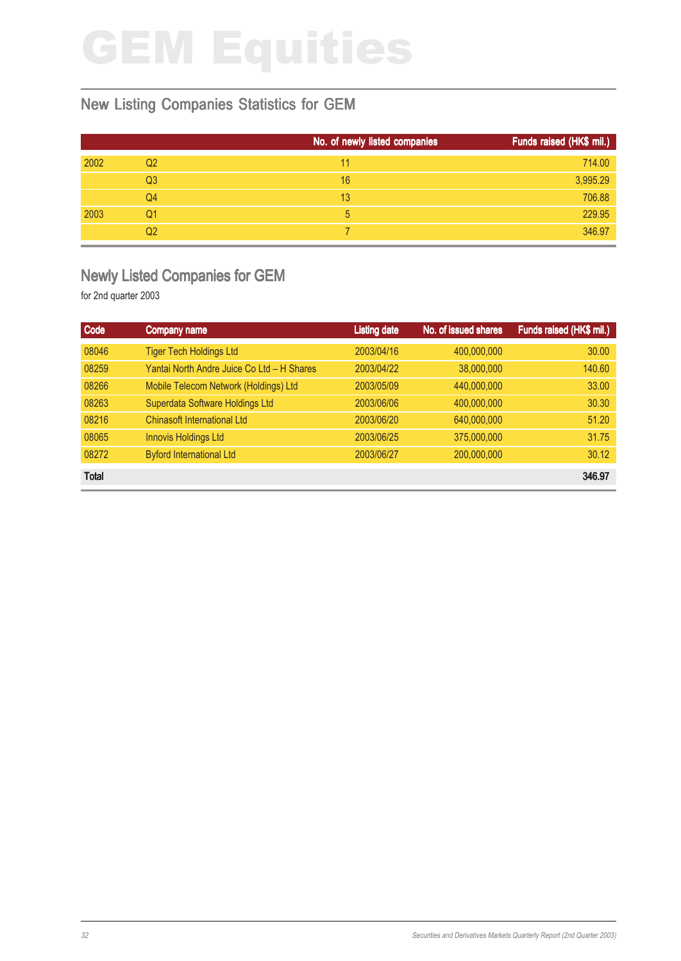### New Listing Companies Statistics for GEM

|      |                | No. of newly listed companies | Funds raised (HK\$ mil.) |
|------|----------------|-------------------------------|--------------------------|
| 2002 | Q <sub>2</sub> | 11                            | 714.00                   |
|      | Q <sub>3</sub> | 16                            | 3,995.29                 |
|      | Q4             | 13                            | 706.88                   |
| 2003 | Q1             | 5                             | 229.95                   |
|      | Q2             |                               | 346.97                   |

#### Newly Listed Companies for GEM

| Code         | <b>Company name</b>                        | <b>Listing date</b> | No. of issued shares | Funds raised (HK\$ mil.) |
|--------------|--------------------------------------------|---------------------|----------------------|--------------------------|
| 08046        | <b>Tiger Tech Holdings Ltd</b>             | 2003/04/16          | 400,000,000          | 30.00                    |
| 08259        | Yantai North Andre Juice Co Ltd - H Shares | 2003/04/22          | 38,000,000           | 140.60                   |
| 08266        | Mobile Telecom Network (Holdings) Ltd      | 2003/05/09          | 440,000,000          | 33.00                    |
| 08263        | Superdata Software Holdings Ltd            | 2003/06/06          | 400,000,000          | 30.30                    |
| 08216        | <b>Chinasoft International Ltd</b>         | 2003/06/20          | 640,000,000          | 51.20                    |
| 08065        | <b>Innovis Holdings Ltd</b>                | 2003/06/25          | 375,000,000          | 31.75                    |
| 08272        | <b>Byford International Ltd</b>            | 2003/06/27          | 200,000,000          | 30.12                    |
| <b>Total</b> |                                            |                     |                      | 346.97                   |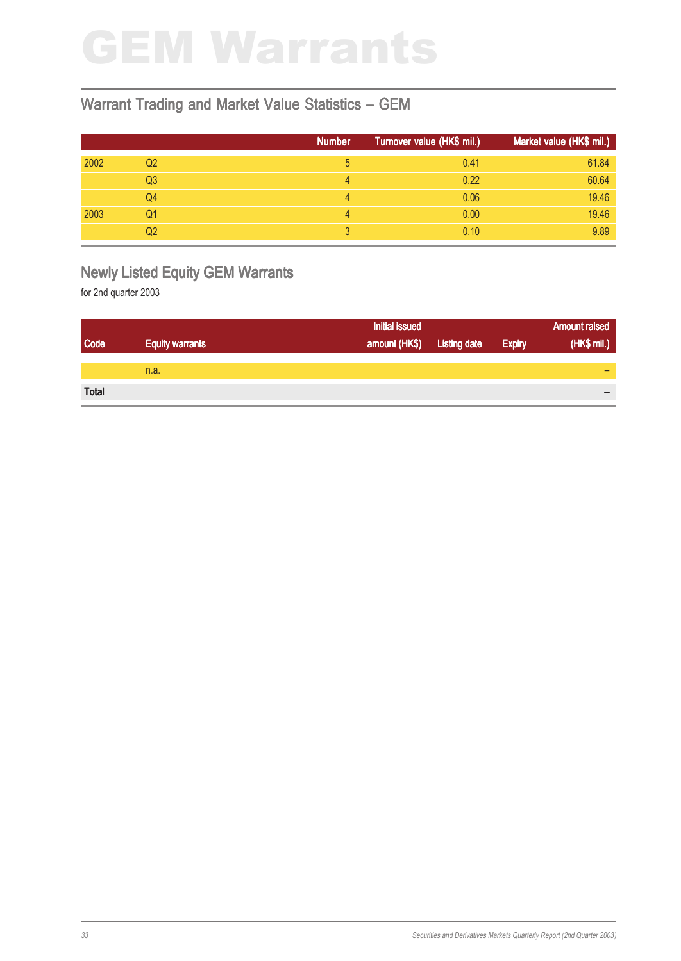### GEM Warrants

#### Warrant Trading and Market Value Statistics – GEM

|      |                | <b>Number</b> | Turnover value (HK\$ mil.) | Market value (HK\$ mil.) |
|------|----------------|---------------|----------------------------|--------------------------|
| 2002 | Q2             | 5             | 0.41                       | 61.84                    |
|      | Q <sub>3</sub> | 4             | 0.22                       | 60.64                    |
|      | Q4             | 4             | 0.06                       | 19.46                    |
| 2003 | Q1             | 4             | 0.00                       | 19.46                    |
|      | Q2             | 3             | 0.10                       | 9.89                     |

### Newly Listed Equity GEM Warrants

|              |                        | <b>Initial issued</b>      |               | <b>Amount raised</b> |
|--------------|------------------------|----------------------------|---------------|----------------------|
| Code         | <b>Equity warrants</b> | amount (HK\$) Listing date | <b>Expiry</b> | (HK\$ mil.)          |
|              |                        |                            |               |                      |
|              | n.a.                   |                            |               | -                    |
|              |                        |                            |               |                      |
| <b>Total</b> |                        |                            |               |                      |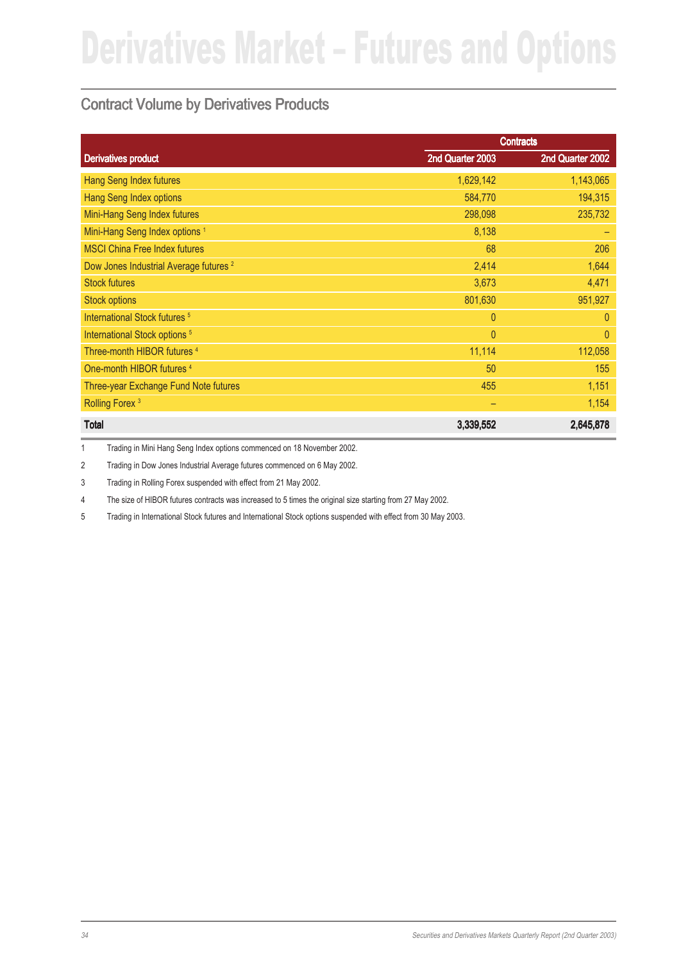### Contract Volume by Derivatives Products

|                                                   |                  | <b>Contracts</b> |
|---------------------------------------------------|------------------|------------------|
| <b>Derivatives product</b>                        | 2nd Quarter 2003 | 2nd Quarter 2002 |
| <b>Hang Seng Index futures</b>                    | 1,629,142        | 1,143,065        |
| <b>Hang Seng Index options</b>                    | 584,770          | 194,315          |
| Mini-Hang Seng Index futures                      | 298,098          | 235,732          |
| Mini-Hang Seng Index options <sup>1</sup>         | 8,138            |                  |
| <b>MSCI China Free Index futures</b>              | 68               | 206              |
| Dow Jones Industrial Average futures <sup>2</sup> | 2,414            | 1,644            |
| <b>Stock futures</b>                              | 3,673            | 4,471            |
| <b>Stock options</b>                              | 801,630          | 951,927          |
| International Stock futures <sup>5</sup>          | $\overline{0}$   | $\theta$         |
| International Stock options <sup>5</sup>          | $\mathbf{0}$     | $\overline{0}$   |
| Three-month HIBOR futures <sup>4</sup>            | 11,114           | 112,058          |
| One-month HIBOR futures <sup>4</sup>              | 50               | 155              |
| Three-year Exchange Fund Note futures             | 455              | 1,151            |
| Rolling Forex <sup>3</sup>                        | -                | 1,154            |
| <b>Total</b>                                      | 3,339,552        | 2,645,878        |

1 Trading in Mini Hang Seng Index options commenced on 18 November 2002.

2 Trading in Dow Jones Industrial Average futures commenced on 6 May 2002.

3 Trading in Rolling Forex suspended with effect from 21 May 2002.

4 The size of HIBOR futures contracts was increased to 5 times the original size starting from 27 May 2002.

5 Trading in International Stock futures and International Stock options suspended with effect from 30 May 2003.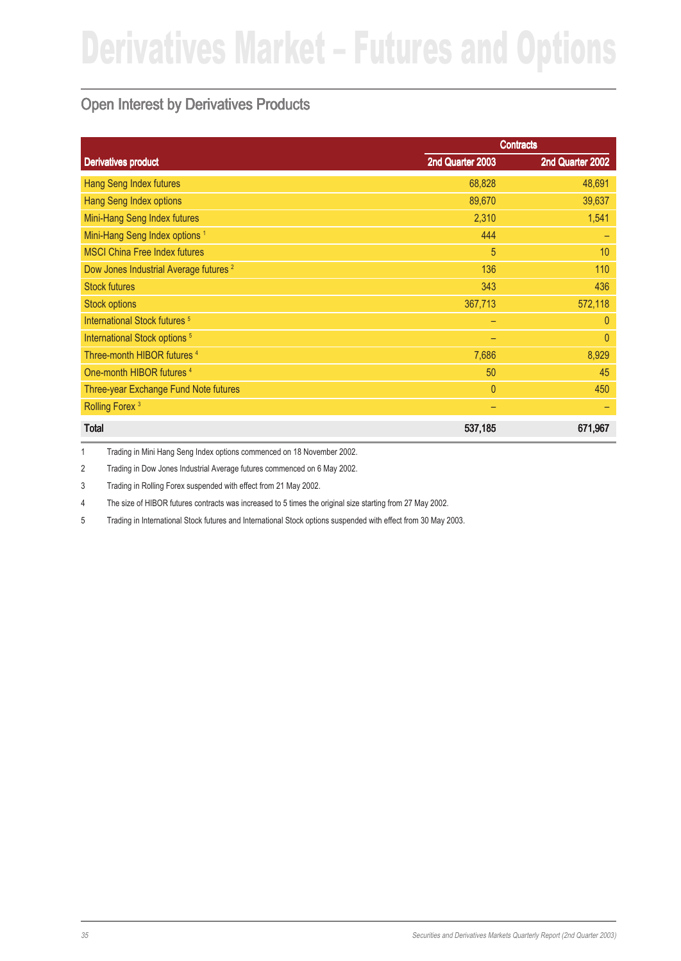### Open Interest by Derivatives Products

|                                                   | <b>Contracts</b> |                  |  |
|---------------------------------------------------|------------------|------------------|--|
| <b>Derivatives product</b>                        | 2nd Quarter 2003 | 2nd Quarter 2002 |  |
| Hang Seng Index futures                           | 68,828           | 48,691           |  |
| Hang Seng Index options                           | 89,670           | 39,637           |  |
| Mini-Hang Seng Index futures                      | 2,310            | 1,541            |  |
| Mini-Hang Seng Index options <sup>1</sup>         | 444              |                  |  |
| <b>MSCI China Free Index futures</b>              | 5                | 10               |  |
| Dow Jones Industrial Average futures <sup>2</sup> | 136              | 110              |  |
| <b>Stock futures</b>                              | 343              | 436              |  |
| <b>Stock options</b>                              | 367,713          | 572,118          |  |
| International Stock futures <sup>5</sup>          | -                | $\theta$         |  |
| International Stock options <sup>5</sup>          | -                | $\theta$         |  |
| Three-month HIBOR futures <sup>4</sup>            | 7,686            | 8,929            |  |
| One-month HIBOR futures <sup>4</sup>              | 50               | 45               |  |
| Three-year Exchange Fund Note futures             | $\mathbf{0}$     | 450              |  |
| Rolling Forex <sup>3</sup>                        |                  |                  |  |
| <b>Total</b>                                      | 537,185          | 671,967          |  |

1 Trading in Mini Hang Seng Index options commenced on 18 November 2002.

2 Trading in Dow Jones Industrial Average futures commenced on 6 May 2002.

3 Trading in Rolling Forex suspended with effect from 21 May 2002.

4 The size of HIBOR futures contracts was increased to 5 times the original size starting from 27 May 2002.

5 Trading in International Stock futures and International Stock options suspended with effect from 30 May 2003.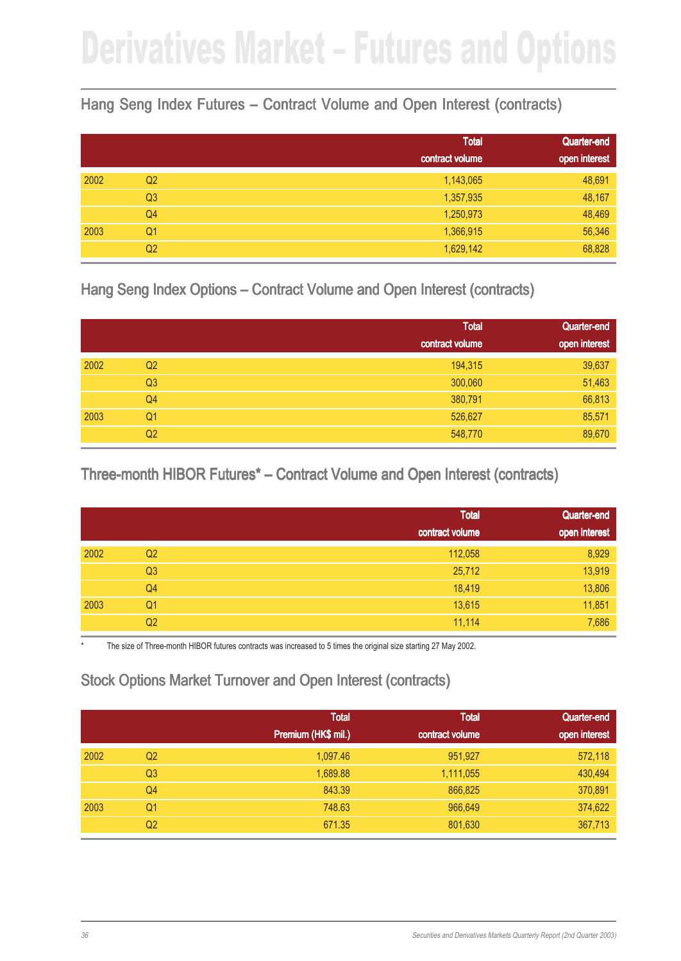#### Hang Seng Index Futures – Contract Volume and Open Interest (contracts)

|      |                | <b>Total</b>    | Quarter-end   |
|------|----------------|-----------------|---------------|
|      |                | contract volume | open interest |
| 2002 | Q <sub>2</sub> | 1,143,065       | 48,691        |
|      | Q <sub>3</sub> | 1,357,935       | 48,167        |
|      | Q4             | 1,250,973       | 48,469        |
| 2003 | Q <sub>1</sub> | 1,366,915       | 56,346        |
|      | Q <sub>2</sub> | 1,629,142       | 68,828        |

Hang Seng Index Options – Contract Volume and Open Interest (contracts)

|      |                | <b>Total</b>    | Quarter-end   |
|------|----------------|-----------------|---------------|
|      |                | contract volume | open interest |
| 2002 | Q <sub>2</sub> | 194,315         | 39,637        |
|      | Q <sub>3</sub> | 300,060         | 51,463        |
|      | Q <sub>4</sub> | 380,791         | 66,813        |
| 2003 | Q <sub>1</sub> | 526,627         | 85,571        |
|      | Q <sub>2</sub> | 548,770         | 89,670        |

Three-month HIBOR Futures\* – Contract Volume and Open Interest (contracts)

|      |                | <b>Total</b>    | Quarter-end   |
|------|----------------|-----------------|---------------|
|      |                | contract volume | open interest |
| 2002 | Q <sub>2</sub> | 112,058         | 8,929         |
|      | Q <sub>3</sub> | 25,712          | 13,919        |
|      | Q4             | 18,419          | 13,806        |
| 2003 | Q <sub>1</sub> | 13,615          | 11,851        |
|      | Q <sub>2</sub> | 11,114          | 7,686         |

The size of Three-month HIBOR futures contracts was increased to 5 times the original size starting 27 May 2002.

#### Stock Options Market Turnover and Open Interest (contracts)

|      |                | <b>Total</b><br>Premium (HK\$ mil.) | <b>Total</b><br>contract volume | Quarter-end<br>open interest |
|------|----------------|-------------------------------------|---------------------------------|------------------------------|
| 2002 | Q2             | 1,097.46                            | 951,927                         | 572,118                      |
|      | Q <sub>3</sub> | 1,689.88                            | 1,111,055                       | 430,494                      |
|      | Q4             | 843.39                              | 866,825                         | 370,891                      |
| 2003 | Q1             | 748.63                              | 966,649                         | 374,622                      |
|      | Q2             | 671.35                              | 801,630                         | 367,713                      |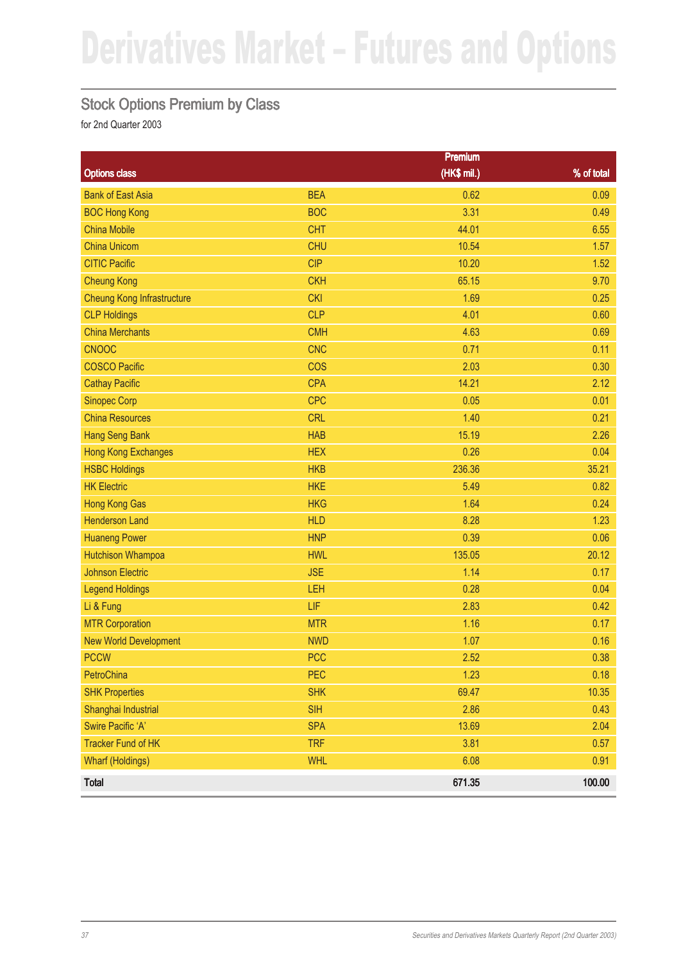#### Stock Options Premium by Class

|                                   |            | <b>Premium</b> |            |
|-----------------------------------|------------|----------------|------------|
| <b>Options class</b>              |            | (HK\$ mil.)    | % of total |
| <b>Bank of East Asia</b>          | <b>BEA</b> | 0.62           | 0.09       |
| <b>BOC Hong Kong</b>              | <b>BOC</b> | 3.31           | 0.49       |
| <b>China Mobile</b>               | <b>CHT</b> | 44.01          | 6.55       |
| <b>China Unicom</b>               | <b>CHU</b> | 10.54          | 1.57       |
| <b>CITIC Pacific</b>              | <b>CIP</b> | 10.20          | 1.52       |
| <b>Cheung Kong</b>                | <b>CKH</b> | 65.15          | 9.70       |
| <b>Cheung Kong Infrastructure</b> | <b>CKI</b> | 1.69           | 0.25       |
| <b>CLP Holdings</b>               | <b>CLP</b> | 4.01           | 0.60       |
| <b>China Merchants</b>            | <b>CMH</b> | 4.63           | 0.69       |
| <b>CNOOC</b>                      | <b>CNC</b> | 0.71           | 0.11       |
| <b>COSCO Pacific</b>              | <b>COS</b> | 2.03           | 0.30       |
| <b>Cathay Pacific</b>             | <b>CPA</b> | 14.21          | 2.12       |
| <b>Sinopec Corp</b>               | <b>CPC</b> | 0.05           | 0.01       |
| <b>China Resources</b>            | <b>CRL</b> | 1.40           | 0.21       |
| <b>Hang Seng Bank</b>             | <b>HAB</b> | 15.19          | 2.26       |
| <b>Hong Kong Exchanges</b>        | <b>HEX</b> | 0.26           | 0.04       |
| <b>HSBC Holdings</b>              | <b>HKB</b> | 236.36         | 35.21      |
| <b>HK Electric</b>                | <b>HKE</b> | 5.49           | 0.82       |
| <b>Hong Kong Gas</b>              | <b>HKG</b> | 1.64           | 0.24       |
| <b>Henderson Land</b>             | <b>HLD</b> | 8.28           | 1.23       |
| <b>Huaneng Power</b>              | <b>HNP</b> | 0.39           | 0.06       |
| <b>Hutchison Whampoa</b>          | <b>HWL</b> | 135.05         | 20.12      |
| <b>Johnson Electric</b>           | <b>JSE</b> | 1.14           | 0.17       |
| <b>Legend Holdings</b>            | LEH        | 0.28           | 0.04       |
| Li & Fung                         | LIF        | 2.83           | 0.42       |
| <b>MTR Corporation</b>            | <b>MTR</b> | 1.16           | 0.17       |
| <b>New World Development</b>      | <b>NWD</b> | 1.07           | 0.16       |
| <b>PCCW</b>                       | <b>PCC</b> | 2.52           | 0.38       |
| PetroChina                        | PEC        | 1.23           | 0.18       |
| <b>SHK Properties</b>             | <b>SHK</b> | 69.47          | 10.35      |
| Shanghai Industrial               | <b>SIH</b> | 2.86           | 0.43       |
| Swire Pacific 'A'                 | <b>SPA</b> | 13.69          | 2.04       |
| <b>Tracker Fund of HK</b>         | <b>TRF</b> | 3.81           | 0.57       |
| <b>Wharf (Holdings)</b>           | <b>WHL</b> | 6.08           | 0.91       |
| Total                             |            | 671.35         | 100.00     |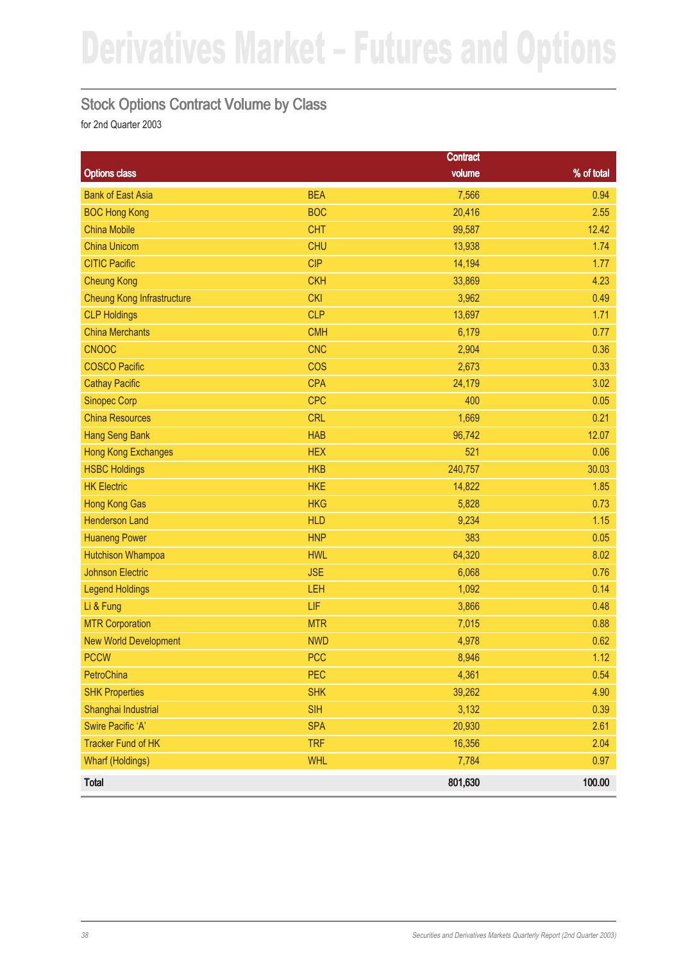#### Stock Options Contract Volume by Class

|                                   |            | <b>Contract</b> |            |
|-----------------------------------|------------|-----------------|------------|
| <b>Options class</b>              |            | volume          | % of total |
| <b>Bank of East Asia</b>          | <b>BEA</b> | 7,566           | 0.94       |
| <b>BOC Hong Kong</b>              | <b>BOC</b> | 20,416          | 2.55       |
| <b>China Mobile</b>               | <b>CHT</b> | 99,587          | 12.42      |
| <b>China Unicom</b>               | <b>CHU</b> | 13,938          | 1.74       |
| <b>CITIC Pacific</b>              | <b>CIP</b> | 14,194          | 1.77       |
| <b>Cheung Kong</b>                | <b>CKH</b> | 33,869          | 4.23       |
| <b>Cheung Kong Infrastructure</b> | <b>CKI</b> | 3,962           | 0.49       |
| <b>CLP Holdings</b>               | <b>CLP</b> | 13,697          | 1.71       |
| <b>China Merchants</b>            | <b>CMH</b> | 6,179           | 0.77       |
| <b>CNOOC</b>                      | <b>CNC</b> | 2,904           | 0.36       |
| <b>COSCO Pacific</b>              | <b>COS</b> | 2,673           | 0.33       |
| <b>Cathay Pacific</b>             | <b>CPA</b> | 24,179          | 3.02       |
| <b>Sinopec Corp</b>               | <b>CPC</b> | 400             | 0.05       |
| <b>China Resources</b>            | <b>CRL</b> | 1,669           | 0.21       |
| <b>Hang Seng Bank</b>             | <b>HAB</b> | 96,742          | 12.07      |
| <b>Hong Kong Exchanges</b>        | <b>HEX</b> | 521             | 0.06       |
| <b>HSBC Holdings</b>              | <b>HKB</b> | 240,757         | 30.03      |
| <b>HK Electric</b>                | <b>HKE</b> | 14,822          | 1.85       |
| <b>Hong Kong Gas</b>              | <b>HKG</b> | 5,828           | 0.73       |
| <b>Henderson Land</b>             | <b>HLD</b> | 9,234           | 1.15       |
| <b>Huaneng Power</b>              | <b>HNP</b> | 383             | 0.05       |
| <b>Hutchison Whampoa</b>          | <b>HWL</b> | 64,320          | 8.02       |
| <b>Johnson Electric</b>           | <b>JSE</b> | 6,068           | 0.76       |
| <b>Legend Holdings</b>            | LEH        | 1,092           | 0.14       |
| Li & Fung                         | LIF        | 3,866           | 0.48       |
| <b>MTR Corporation</b>            | <b>MTR</b> | 7,015           | 0.88       |
| <b>New World Development</b>      | <b>NWD</b> | 4,978           | 0.62       |
| <b>PCCW</b>                       | <b>PCC</b> | 8,946           | 1.12       |
| PetroChina                        | PEC        | 4,361           | 0.54       |
| <b>SHK Properties</b>             | <b>SHK</b> | 39,262          | 4.90       |
| Shanghai Industrial               | <b>SIH</b> | 3,132           | 0.39       |
| Swire Pacific 'A'                 | <b>SPA</b> | 20,930          | 2.61       |
| <b>Tracker Fund of HK</b>         | <b>TRF</b> | 16,356          | 2.04       |
| <b>Wharf (Holdings)</b>           | <b>WHL</b> | 7,784           | 0.97       |
| Total                             |            | 801,630         | 100.00     |